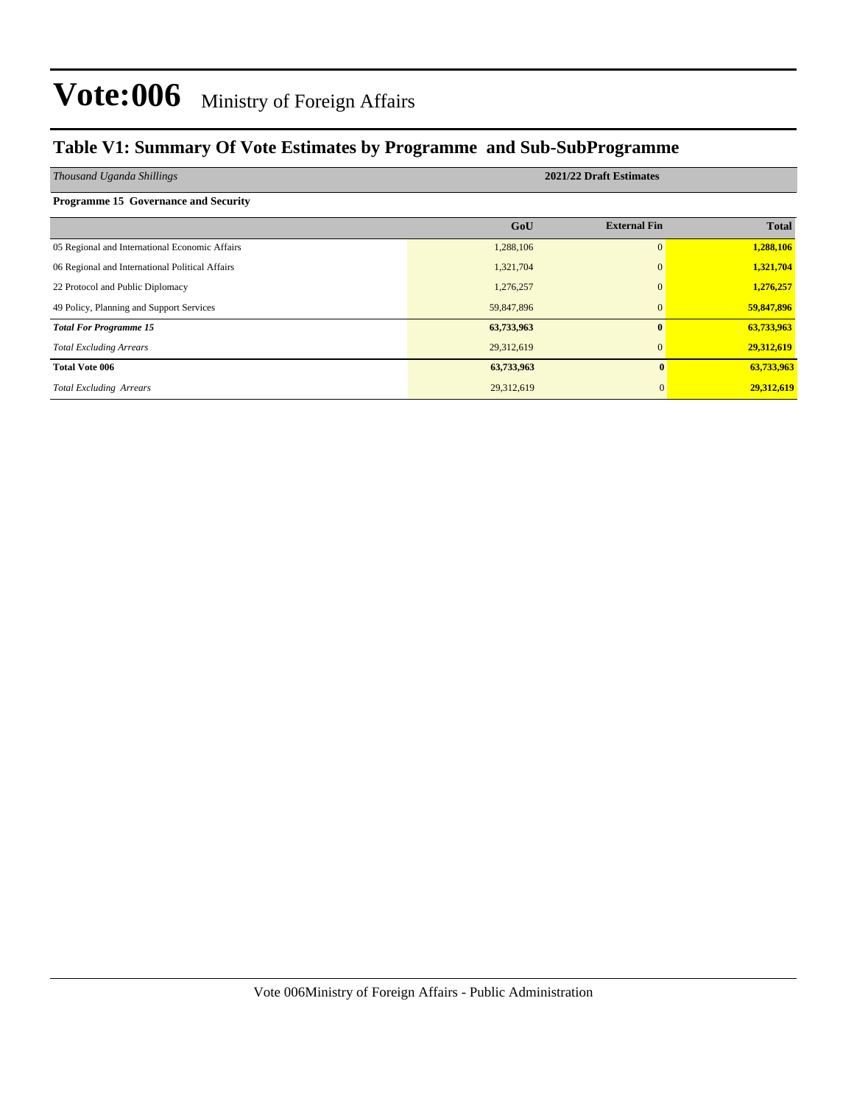### **Table V1: Summary Of Vote Estimates by Programme and Sub-SubProgramme**

| Thousand Uganda Shillings                       | 2021/22 Draft Estimates |                     |              |  |  |  |  |
|-------------------------------------------------|-------------------------|---------------------|--------------|--|--|--|--|
| <b>Programme 15 Governance and Security</b>     |                         |                     |              |  |  |  |  |
|                                                 | GoU                     | <b>External Fin</b> | <b>Total</b> |  |  |  |  |
| 05 Regional and International Economic Affairs  | 1,288,106               | $\Omega$            | 1,288,106    |  |  |  |  |
| 06 Regional and International Political Affairs | 1,321,704               | $\Omega$            | 1,321,704    |  |  |  |  |
| 22 Protocol and Public Diplomacy                | 1,276,257               | $\Omega$            | 1,276,257    |  |  |  |  |
| 49 Policy, Planning and Support Services        | 59,847,896              | $\mathbf{0}$        | 59,847,896   |  |  |  |  |
| <b>Total For Programme 15</b>                   | 63,733,963              | $\mathbf{0}$        | 63,733,963   |  |  |  |  |
| <b>Total Excluding Arrears</b>                  | 29,312,619              | $\Omega$            | 29,312,619   |  |  |  |  |
| <b>Total Vote 006</b>                           | 63,733,963              | $\mathbf{0}$        | 63,733,963   |  |  |  |  |
| <b>Total Excluding Arrears</b>                  | 29,312,619              | $\Omega$            | 29,312,619   |  |  |  |  |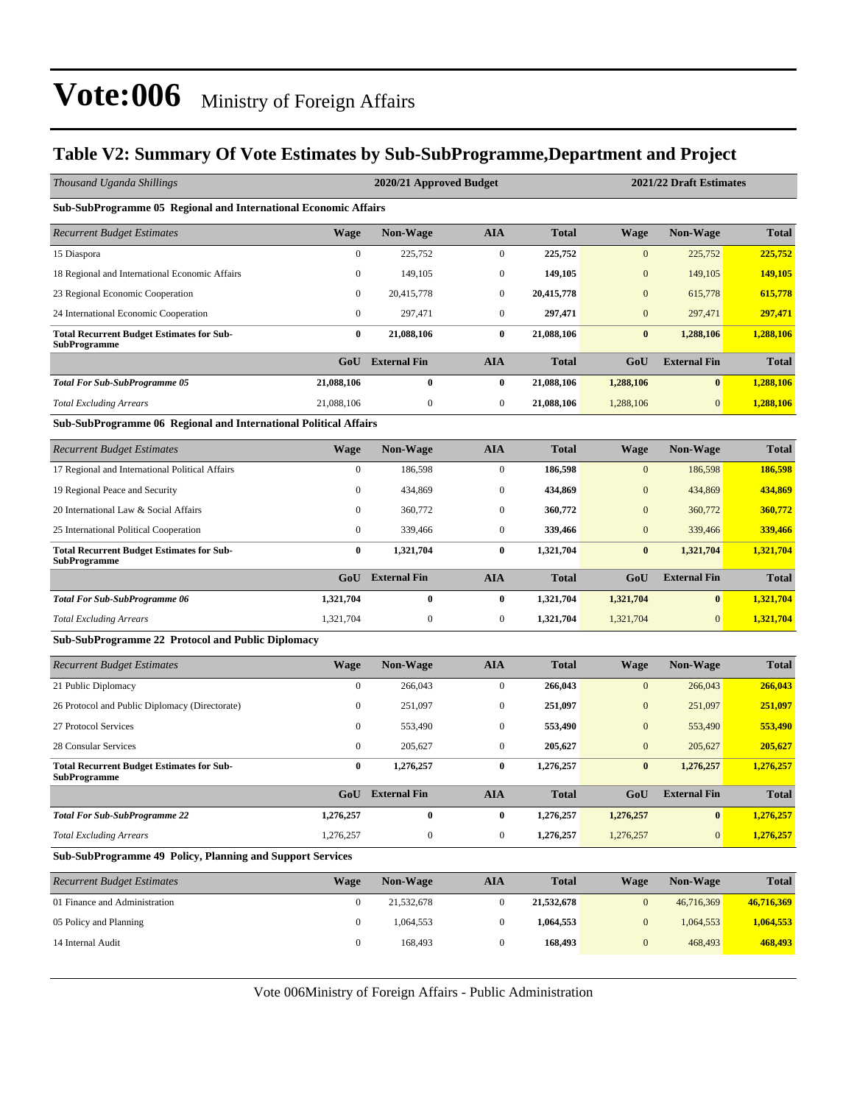### **Table V2: Summary Of Vote Estimates by Sub-SubProgramme,Department and Project**

| Thousand Uganda Shillings                                               |                                                                         | 2020/21 Approved Budget |                  |              | 2021/22 Draft Estimates |                     |              |  |  |  |  |  |  |
|-------------------------------------------------------------------------|-------------------------------------------------------------------------|-------------------------|------------------|--------------|-------------------------|---------------------|--------------|--|--|--|--|--|--|
| Sub-SubProgramme 05 Regional and International Economic Affairs         |                                                                         |                         |                  |              |                         |                     |              |  |  |  |  |  |  |
| <b>Recurrent Budget Estimates</b>                                       | <b>Wage</b>                                                             | <b>Non-Wage</b>         | <b>AIA</b>       | <b>Total</b> | <b>Wage</b>             | <b>Non-Wage</b>     | <b>Total</b> |  |  |  |  |  |  |
| 15 Diaspora                                                             | $\boldsymbol{0}$                                                        | 225.752                 | $\boldsymbol{0}$ | 225,752      | $\mathbf{0}$            | 225,752             | 225,752      |  |  |  |  |  |  |
| 18 Regional and International Economic Affairs                          | $\boldsymbol{0}$                                                        | 149,105                 | $\boldsymbol{0}$ | 149,105      | $\mathbf{0}$            | 149,105             | 149,105      |  |  |  |  |  |  |
| 23 Regional Economic Cooperation                                        | 0                                                                       | 20,415,778              | $\mathbf{0}$     | 20,415,778   | $\mathbf{0}$            | 615,778             | 615,778      |  |  |  |  |  |  |
| 24 International Economic Cooperation                                   | $\boldsymbol{0}$                                                        | 297,471                 | $\mathbf{0}$     | 297,471      | $\mathbf{0}$            | 297,471             | 297,471      |  |  |  |  |  |  |
| <b>Total Recurrent Budget Estimates for Sub-</b><br><b>SubProgramme</b> | 0                                                                       | 21,088,106              | $\bf{0}$         | 21,088,106   | $\bf{0}$                | 1,288,106           | 1,288,106    |  |  |  |  |  |  |
|                                                                         | GoU                                                                     | <b>External Fin</b>     | <b>AIA</b>       | <b>Total</b> | GoU                     | <b>External Fin</b> | <b>Total</b> |  |  |  |  |  |  |
| <b>Total For Sub-SubProgramme 05</b>                                    | 21,088,106                                                              | 0                       | $\bf{0}$         | 21,088,106   | 1,288,106               | $\bf{0}$            | 1,288,106    |  |  |  |  |  |  |
| <b>Total Excluding Arrears</b>                                          | 21,088,106                                                              | $\boldsymbol{0}$        | $\boldsymbol{0}$ | 21,088,106   | 1,288,106               | $\mathbf{0}$        | 1,288,106    |  |  |  |  |  |  |
|                                                                         | <b>Sub-SubProgramme 06 Regional and International Political Affairs</b> |                         |                  |              |                         |                     |              |  |  |  |  |  |  |
| <b>Recurrent Budget Estimates</b>                                       | <b>Wage</b>                                                             | <b>Non-Wage</b>         | <b>AIA</b>       | <b>Total</b> | <b>Wage</b>             | <b>Non-Wage</b>     | <b>Total</b> |  |  |  |  |  |  |
| 17 Regional and International Political Affairs                         | $\boldsymbol{0}$                                                        | 186,598                 | $\boldsymbol{0}$ | 186,598      | $\mathbf{0}$            | 186,598             | 186,598      |  |  |  |  |  |  |
| 19 Regional Peace and Security                                          | 0                                                                       | 434,869                 | $\mathbf{0}$     | 434,869      | $\mathbf{0}$            | 434,869             | 434,869      |  |  |  |  |  |  |
| 20 International Law & Social Affairs                                   | $\mathbf{0}$                                                            | 360,772                 | $\boldsymbol{0}$ | 360,772      | $\mathbf{0}$            | 360,772             | 360,772      |  |  |  |  |  |  |
| 25 International Political Cooperation                                  | $\boldsymbol{0}$                                                        | 339,466                 | $\mathbf{0}$     | 339,466      | $\mathbf{0}$            | 339,466             | 339,466      |  |  |  |  |  |  |
| <b>Total Recurrent Budget Estimates for Sub-</b><br><b>SubProgramme</b> | $\bf{0}$                                                                | 1,321,704               | $\bf{0}$         | 1,321,704    | $\bf{0}$                | 1,321,704           | 1,321,704    |  |  |  |  |  |  |
|                                                                         | GoU                                                                     | <b>External Fin</b>     | <b>AIA</b>       | <b>Total</b> | GoU                     | <b>External Fin</b> | <b>Total</b> |  |  |  |  |  |  |
| <b>Total For Sub-SubProgramme 06</b>                                    | 1,321,704                                                               | $\bf{0}$                | $\bf{0}$         | 1,321,704    | 1,321,704               | $\bf{0}$            | 1,321,704    |  |  |  |  |  |  |
| <b>Total Excluding Arrears</b>                                          | 1,321,704                                                               | $\boldsymbol{0}$        | $\mathbf{0}$     | 1,321,704    | 1,321,704               | $\mathbf{0}$        | 1,321,704    |  |  |  |  |  |  |
| <b>Sub-SubProgramme 22 Protocol and Public Diplomacy</b>                |                                                                         |                         |                  |              |                         |                     |              |  |  |  |  |  |  |
| <b>Recurrent Budget Estimates</b>                                       | <b>Wage</b>                                                             | <b>Non-Wage</b>         | <b>AIA</b>       | <b>Total</b> | <b>Wage</b>             | <b>Non-Wage</b>     | <b>Total</b> |  |  |  |  |  |  |
| 21 Public Diplomacy                                                     | $\boldsymbol{0}$                                                        | 266,043                 | $\mathbf{0}$     | 266,043      | $\mathbf{0}$            | 266,043             | 266,043      |  |  |  |  |  |  |
| 26 Protocol and Public Diplomacy (Directorate)                          | $\boldsymbol{0}$                                                        | 251,097                 | $\boldsymbol{0}$ | 251,097      | $\boldsymbol{0}$        | 251,097             | 251,097      |  |  |  |  |  |  |
| 27 Protocol Services                                                    | $\mathbf{0}$                                                            | 553,490                 | $\boldsymbol{0}$ | 553,490      | $\mathbf{0}$            | 553,490             | 553,490      |  |  |  |  |  |  |
| 28 Consular Services                                                    | $\boldsymbol{0}$                                                        | 205,627                 | $\boldsymbol{0}$ | 205,627      | $\mathbf{0}$            | 205,627             | 205,627      |  |  |  |  |  |  |
| <b>Total Recurrent Budget Estimates for Sub-</b><br><b>SubProgramme</b> | $\bf{0}$                                                                | 1,276,257               | $\bf{0}$         | 1,276,257    | $\bf{0}$                | 1,276,257           | 1,276,257    |  |  |  |  |  |  |
|                                                                         |                                                                         | GoU External Fin        | AIA              | <b>Total</b> | GoU                     | <b>External Fin</b> | <b>Total</b> |  |  |  |  |  |  |
| <b>Total For Sub-SubProgramme 22</b>                                    | 1,276,257                                                               | $\bf{0}$                | $\bf{0}$         | 1,276,257    | 1,276,257               | $\bf{0}$            | 1,276,257    |  |  |  |  |  |  |
| <b>Total Excluding Arrears</b>                                          | 1,276,257                                                               | $\boldsymbol{0}$        | $\boldsymbol{0}$ | 1,276,257    | 1,276,257               | $\boldsymbol{0}$    | 1,276,257    |  |  |  |  |  |  |
| Sub-SubProgramme 49 Policy, Planning and Support Services               |                                                                         |                         |                  |              |                         |                     |              |  |  |  |  |  |  |
| <b>Recurrent Budget Estimates</b>                                       | <b>Wage</b>                                                             | Non-Wage                | <b>AIA</b>       | <b>Total</b> | <b>Wage</b>             | Non-Wage            | <b>Total</b> |  |  |  |  |  |  |
| 01 Finance and Administration                                           | $\boldsymbol{0}$                                                        | 21,532,678              | $\boldsymbol{0}$ | 21,532,678   | $\boldsymbol{0}$        | 46,716,369          | 46,716,369   |  |  |  |  |  |  |
| 05 Policy and Planning                                                  | $\boldsymbol{0}$                                                        | 1,064,553               | $\boldsymbol{0}$ | 1,064,553    | $\boldsymbol{0}$        | 1,064,553           | 1,064,553    |  |  |  |  |  |  |
| 14 Internal Audit                                                       | $\boldsymbol{0}$                                                        | 168,493                 | $\boldsymbol{0}$ | 168,493      | $\boldsymbol{0}$        | 468,493             | 468,493      |  |  |  |  |  |  |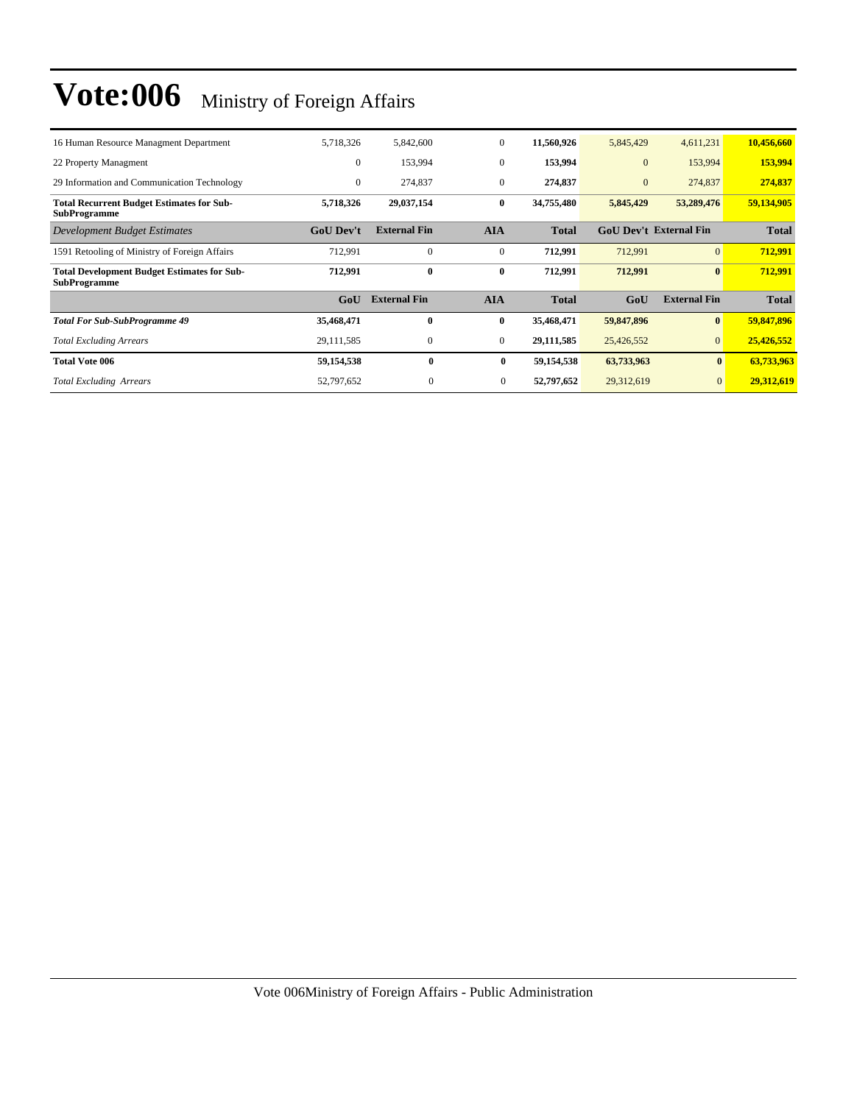| 16 Human Resource Managment Department                                    | 5,718,326        | 5,842,600           | $\mathbf{0}$     | 11,560,926   | 5,845,429                     | 4,611,231           | 10,456,660   |
|---------------------------------------------------------------------------|------------------|---------------------|------------------|--------------|-------------------------------|---------------------|--------------|
| 22 Property Managment                                                     | $\theta$         | 153,994             | $\mathbf{0}$     | 153,994      | $\mathbf{0}$                  | 153,994             | 153,994      |
| 29 Information and Communication Technology                               | $\mathbf{0}$     | 274,837             | $\boldsymbol{0}$ | 274,837      | $\boldsymbol{0}$              | 274,837             | 274,837      |
| <b>Total Recurrent Budget Estimates for Sub-</b><br><b>SubProgramme</b>   | 5,718,326        | 29,037,154          | $\bf{0}$         | 34,755,480   | 5,845,429                     | 53,289,476          | 59,134,905   |
| Development Budget Estimates                                              | <b>GoU Dev't</b> | <b>External Fin</b> | <b>AIA</b>       | <b>Total</b> | <b>GoU Dev't External Fin</b> |                     | <b>Total</b> |
| 1591 Retooling of Ministry of Foreign Affairs                             | 712,991          | $\Omega$            | $\mathbf{0}$     | 712,991      | 712,991                       | $\Omega$            | 712,991      |
| <b>Total Development Budget Estimates for Sub-</b><br><b>SubProgramme</b> | 712,991          | $\mathbf{0}$        | $\bf{0}$         | 712,991      | 712,991                       | $\mathbf{0}$        | 712,991      |
|                                                                           | GoU              | <b>External Fin</b> | <b>AIA</b>       | <b>Total</b> | GoU                           | <b>External Fin</b> | <b>Total</b> |
| <b>Total For Sub-SubProgramme 49</b>                                      | 35,468,471       | $\mathbf{0}$        | $\bf{0}$         | 35,468,471   | 59,847,896                    | $\mathbf{0}$        | 59,847,896   |
| <b>Total Excluding Arrears</b>                                            | 29, 111, 585     | $\mathbf{0}$        | $\mathbf{0}$     | 29,111,585   | 25,426,552                    | $\vert 0 \vert$     | 25,426,552   |
| <b>Total Vote 006</b>                                                     | 59,154,538       | $\mathbf{0}$        | $\bf{0}$         | 59,154,538   | 63,733,963                    | $\mathbf{0}$        | 63,733,963   |
| <b>Total Excluding Arrears</b>                                            | 52,797,652       | $\mathbf{0}$        | $\mathbf{0}$     | 52,797,652   | 29,312,619                    | $\overline{0}$      | 29,312,619   |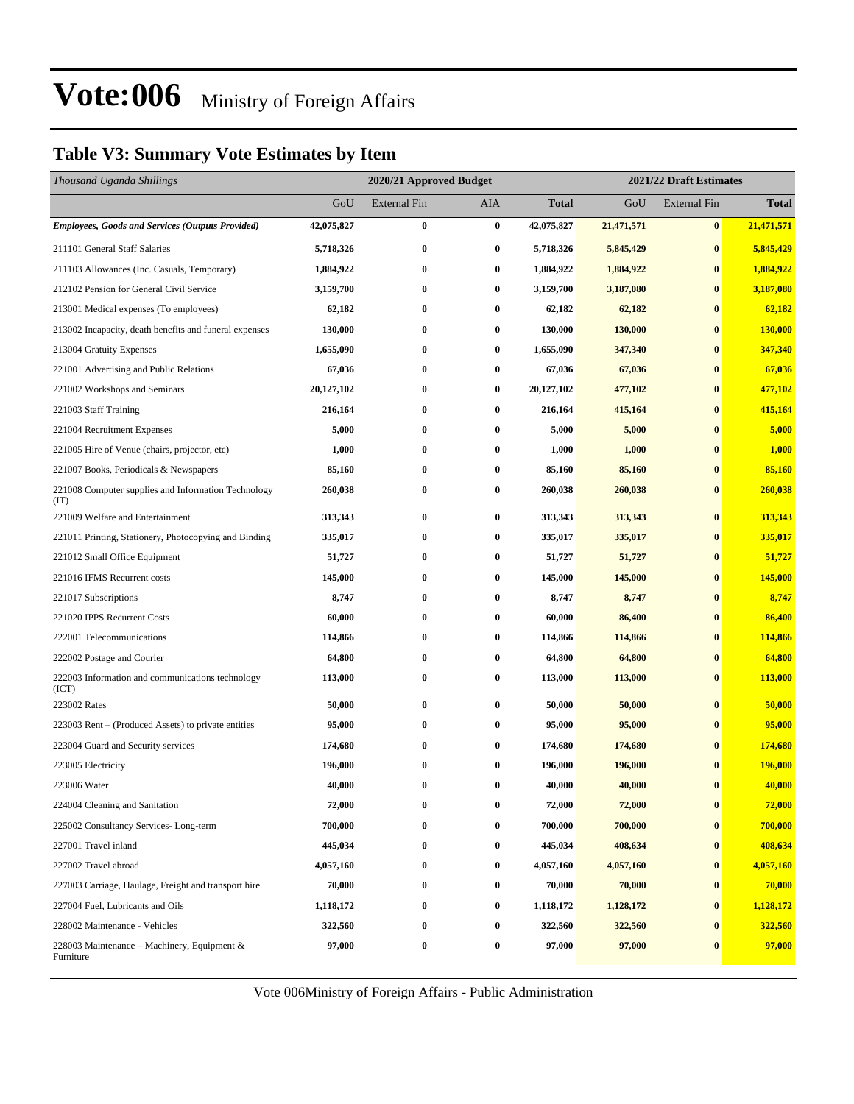### **Table V3: Summary Vote Estimates by Item**

| Thousand Uganda Shillings                                   |            | 2020/21 Approved Budget |          |              | 2021/22 Draft Estimates |                     |              |  |  |
|-------------------------------------------------------------|------------|-------------------------|----------|--------------|-------------------------|---------------------|--------------|--|--|
|                                                             | GoU        | <b>External Fin</b>     | AIA      | <b>Total</b> | GoU                     | <b>External Fin</b> | <b>Total</b> |  |  |
| <b>Employees, Goods and Services (Outputs Provided)</b>     | 42,075,827 | $\bf{0}$                | $\bf{0}$ | 42,075,827   | 21,471,571              | $\bf{0}$            | 21,471,571   |  |  |
| 211101 General Staff Salaries                               | 5,718,326  | $\bf{0}$                | 0        | 5,718,326    | 5,845,429               | $\bf{0}$            | 5,845,429    |  |  |
| 211103 Allowances (Inc. Casuals, Temporary)                 | 1,884,922  | $\bf{0}$                | 0        | 1,884,922    | 1,884,922               | $\bf{0}$            | 1,884,922    |  |  |
| 212102 Pension for General Civil Service                    | 3,159,700  | $\bf{0}$                | 0        | 3,159,700    | 3,187,080               | $\bf{0}$            | 3,187,080    |  |  |
| 213001 Medical expenses (To employees)                      | 62,182     | $\bf{0}$                | 0        | 62,182       | 62,182                  | $\bf{0}$            | 62,182       |  |  |
| 213002 Incapacity, death benefits and funeral expenses      | 130,000    | $\bf{0}$                | 0        | 130,000      | 130,000                 | $\bf{0}$            | 130,000      |  |  |
| 213004 Gratuity Expenses                                    | 1,655,090  | $\bf{0}$                | 0        | 1,655,090    | 347,340                 | $\bf{0}$            | 347,340      |  |  |
| 221001 Advertising and Public Relations                     | 67,036     | $\bf{0}$                | 0        | 67,036       | 67,036                  | $\bf{0}$            | 67,036       |  |  |
| 221002 Workshops and Seminars                               | 20,127,102 | $\bf{0}$                | 0        | 20,127,102   | 477,102                 | $\bf{0}$            | 477,102      |  |  |
| 221003 Staff Training                                       | 216,164    | $\bf{0}$                | 0        | 216,164      | 415,164                 | $\bf{0}$            | 415,164      |  |  |
| 221004 Recruitment Expenses                                 | 5,000      | $\bf{0}$                | 0        | 5,000        | 5,000                   | $\bf{0}$            | 5,000        |  |  |
| 221005 Hire of Venue (chairs, projector, etc)               | 1,000      | $\bf{0}$                | 0        | 1,000        | 1,000                   | $\bf{0}$            | 1,000        |  |  |
| 221007 Books, Periodicals & Newspapers                      | 85,160     | $\bf{0}$                | 0        | 85,160       | 85,160                  | $\bf{0}$            | 85,160       |  |  |
| 221008 Computer supplies and Information Technology<br>(TT) | 260,038    | $\bf{0}$                | 0        | 260,038      | 260,038                 | $\bf{0}$            | 260,038      |  |  |
| 221009 Welfare and Entertainment                            | 313,343    | $\bf{0}$                | 0        | 313,343      | 313,343                 | $\bf{0}$            | 313,343      |  |  |
| 221011 Printing, Stationery, Photocopying and Binding       | 335,017    | $\bf{0}$                | $\bf{0}$ | 335,017      | 335,017                 | $\bf{0}$            | 335,017      |  |  |
| 221012 Small Office Equipment                               | 51,727     | $\bf{0}$                | 0        | 51,727       | 51,727                  | $\bf{0}$            | 51,727       |  |  |
| 221016 IFMS Recurrent costs                                 | 145,000    | $\bf{0}$                | 0        | 145,000      | 145,000                 | $\bf{0}$            | 145,000      |  |  |
| 221017 Subscriptions                                        | 8,747      | $\bf{0}$                | 0        | 8,747        | 8,747                   | $\bf{0}$            | 8,747        |  |  |
| 221020 IPPS Recurrent Costs                                 | 60,000     | $\bf{0}$                | 0        | 60,000       | 86,400                  | $\bf{0}$            | 86,400       |  |  |
| 222001 Telecommunications                                   | 114,866    | $\bf{0}$                | $\bf{0}$ | 114,866      | 114,866                 | $\bf{0}$            | 114,866      |  |  |
| 222002 Postage and Courier                                  | 64,800     | $\bf{0}$                | 0        | 64,800       | 64,800                  | $\bf{0}$            | 64,800       |  |  |
| 222003 Information and communications technology<br>(ICT)   | 113,000    | $\bf{0}$                | 0        | 113,000      | 113,000                 | $\bf{0}$            | 113,000      |  |  |
| 223002 Rates                                                | 50,000     | $\bf{0}$                | 0        | 50,000       | 50,000                  | $\bf{0}$            | 50,000       |  |  |
| 223003 Rent - (Produced Assets) to private entities         | 95,000     | $\bf{0}$                | 0        | 95,000       | 95,000                  | $\bf{0}$            | 95,000       |  |  |
| 223004 Guard and Security services                          | 174,680    | $\bf{0}$                | $\bf{0}$ | 174,680      | 174,680                 | $\bf{0}$            | 174,680      |  |  |
| 223005 Electricity                                          | 196,000    | $\bf{0}$                | 0        | 196,000      | 196,000                 | $\bf{0}$            | 196,000      |  |  |
| 223006 Water                                                | 40,000     | $\bf{0}$                | 0        | 40,000       | 40,000                  | $\bf{0}$            | 40,000       |  |  |
| 224004 Cleaning and Sanitation                              | 72,000     | $\bf{0}$                | 0        | 72,000       | 72,000                  | $\bf{0}$            | 72,000       |  |  |
| 225002 Consultancy Services-Long-term                       | 700,000    | $\bf{0}$                | 0        | 700,000      | 700,000                 | $\bf{0}$            | 700,000      |  |  |
| 227001 Travel inland                                        | 445,034    | $\bf{0}$                | 0        | 445,034      | 408,634                 | $\bf{0}$            | 408,634      |  |  |
| 227002 Travel abroad                                        | 4,057,160  | $\bf{0}$                | 0        | 4,057,160    | 4,057,160               | $\bf{0}$            | 4,057,160    |  |  |
| 227003 Carriage, Haulage, Freight and transport hire        | 70,000     | $\bf{0}$                | 0        | 70,000       | 70,000                  | $\bf{0}$            | 70,000       |  |  |
| 227004 Fuel, Lubricants and Oils                            | 1,118,172  | $\bf{0}$                | 0        | 1,118,172    | 1,128,172               | $\bf{0}$            | 1,128,172    |  |  |
| 228002 Maintenance - Vehicles                               | 322,560    | $\bf{0}$                | 0        | 322,560      | 322,560                 | $\bf{0}$            | 322,560      |  |  |
| 228003 Maintenance – Machinery, Equipment &<br>Furniture    | 97,000     | $\boldsymbol{0}$        | 0        | 97,000       | 97,000                  | $\bf{0}$            | 97,000       |  |  |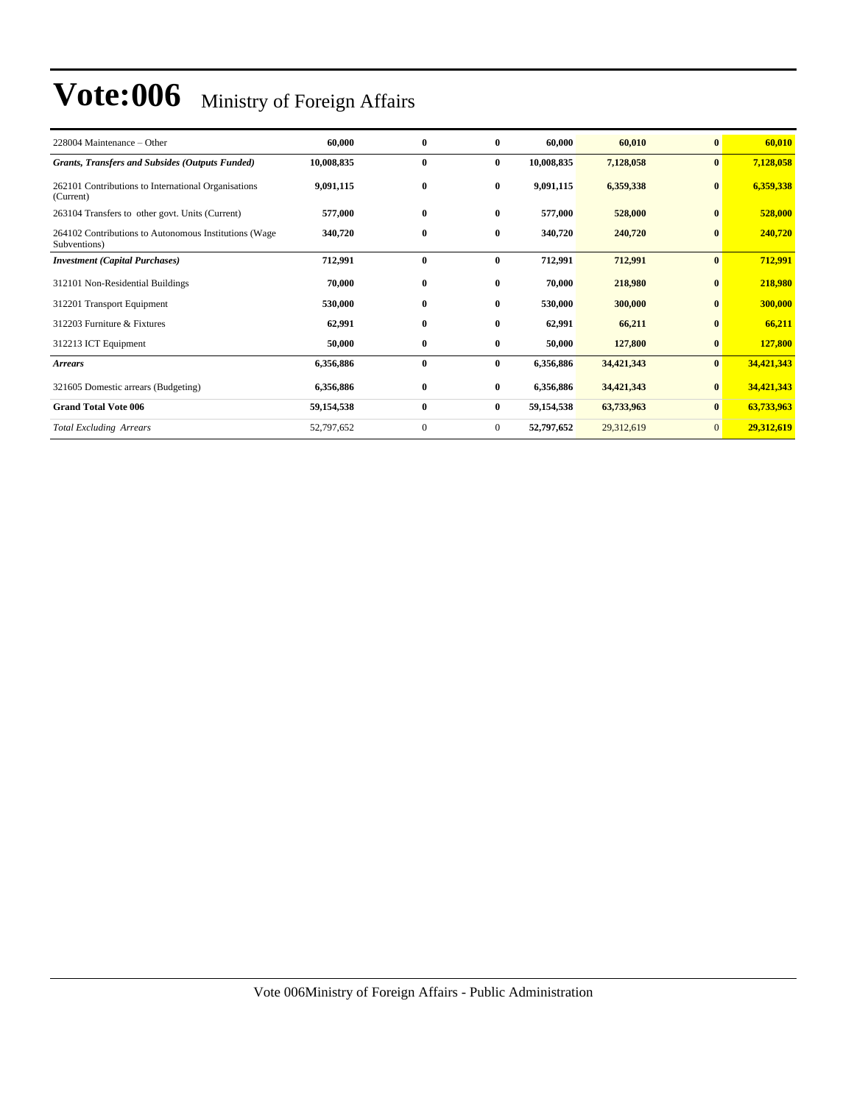| 228004 Maintenance – Other                                            | 60,000     | $\bf{0}$         | $\bf{0}$       | 60,000     | 60,010     | $\bf{0}$       | 60,010     |
|-----------------------------------------------------------------------|------------|------------------|----------------|------------|------------|----------------|------------|
| <b>Grants, Transfers and Subsides (Outputs Funded)</b>                | 10,008,835 | $\bf{0}$         | $\bf{0}$       | 10,008,835 | 7,128,058  | $\bf{0}$       | 7,128,058  |
| 262101 Contributions to International Organisations<br>(Current)      | 9,091,115  | $\bf{0}$         | $\bf{0}$       | 9,091,115  | 6,359,338  | $\mathbf{0}$   | 6,359,338  |
| 263104 Transfers to other govt. Units (Current)                       | 577,000    | $\bf{0}$         | $\bf{0}$       | 577,000    | 528,000    | $\bf{0}$       | 528,000    |
| 264102 Contributions to Autonomous Institutions (Wage<br>Subventions) | 340,720    | $\bf{0}$         | $\bf{0}$       | 340,720    | 240,720    | $\bf{0}$       | 240,720    |
| <b>Investment</b> (Capital Purchases)                                 | 712,991    | $\bf{0}$         | $\bf{0}$       | 712,991    | 712,991    | $\bf{0}$       | 712,991    |
| 312101 Non-Residential Buildings                                      | 70,000     | $\bf{0}$         | 0              | 70,000     | 218,980    | $\mathbf{0}$   | 218,980    |
| 312201 Transport Equipment                                            | 530,000    | $\bf{0}$         | $\bf{0}$       | 530,000    | 300,000    | $\mathbf{0}$   | 300,000    |
| 312203 Furniture & Fixtures                                           | 62,991     | $\bf{0}$         | 0              | 62,991     | 66,211     |                | 66,211     |
| 312213 ICT Equipment                                                  | 50,000     | $\bf{0}$         | $\bf{0}$       | 50,000     | 127,800    | $\bf{0}$       | 127,800    |
| <b>Arrears</b>                                                        | 6,356,886  | $\bf{0}$         | $\bf{0}$       | 6,356,886  | 34,421,343 | $\bf{0}$       | 34,421,343 |
| 321605 Domestic arrears (Budgeting)                                   | 6,356,886  | $\bf{0}$         | $\bf{0}$       | 6,356,886  | 34,421,343 | $\mathbf{0}$   | 34,421,343 |
| <b>Grand Total Vote 006</b>                                           | 59,154,538 | $\bf{0}$         | $\bf{0}$       | 59,154,538 | 63,733,963 | $\mathbf{0}$   | 63,733,963 |
| <b>Total Excluding Arrears</b>                                        | 52,797,652 | $\boldsymbol{0}$ | $\overline{0}$ | 52,797,652 | 29,312,619 | $\overline{0}$ | 29,312,619 |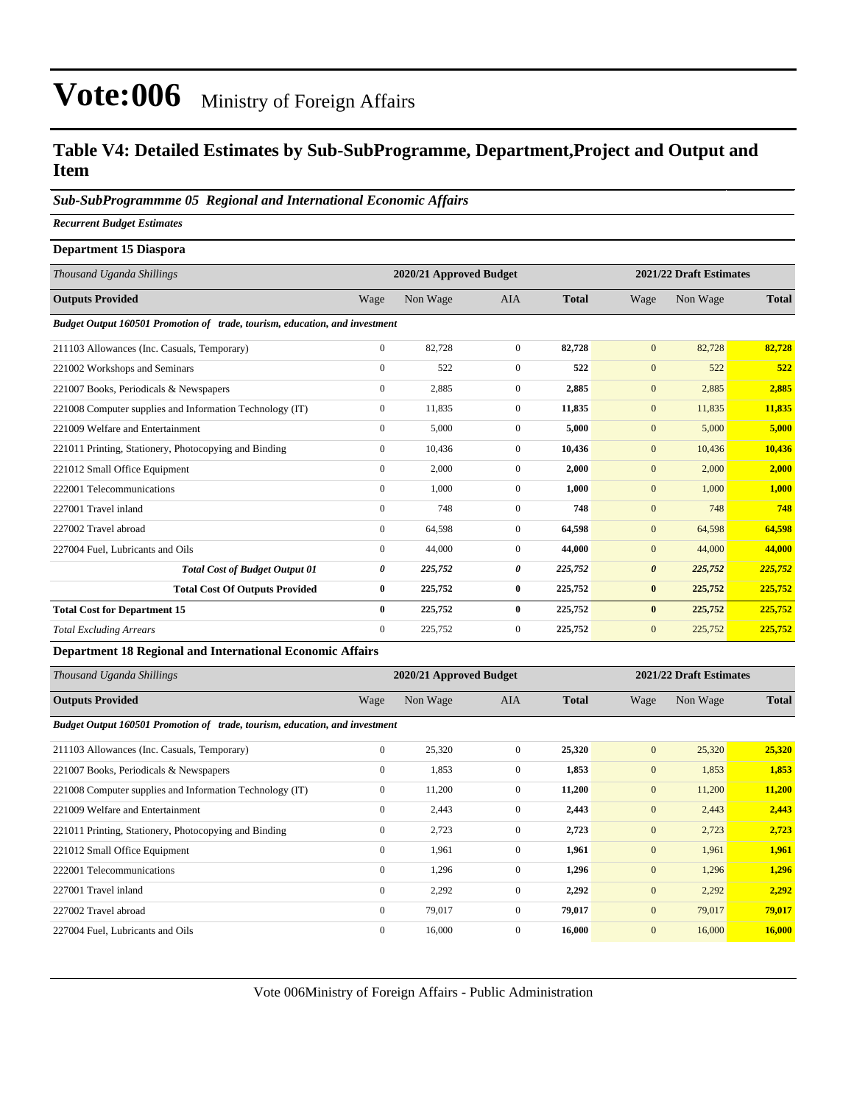### **Table V4: Detailed Estimates by Sub-SubProgramme, Department,Project and Output and Item**

#### *Sub-SubProgrammme 05 Regional and International Economic Affairs*

*Recurrent Budget Estimates*

| Department 15 Diaspora                                                      |                  |                         |                |              |                         |          |              |
|-----------------------------------------------------------------------------|------------------|-------------------------|----------------|--------------|-------------------------|----------|--------------|
| Thousand Uganda Shillings                                                   |                  | 2020/21 Approved Budget |                |              | 2021/22 Draft Estimates |          |              |
| <b>Outputs Provided</b>                                                     | Wage             | Non Wage                | <b>AIA</b>     | <b>Total</b> | Wage                    | Non Wage | <b>Total</b> |
| Budget Output 160501 Promotion of trade, tourism, education, and investment |                  |                         |                |              |                         |          |              |
| 211103 Allowances (Inc. Casuals, Temporary)                                 | $\boldsymbol{0}$ | 82,728                  | $\overline{0}$ | 82,728       | $\mathbf{0}$            | 82,728   | 82,728       |
| 221002 Workshops and Seminars                                               | $\overline{0}$   | 522                     | $\overline{0}$ | 522          | $\mathbf{0}$            | 522      | 522          |
| 221007 Books, Periodicals & Newspapers                                      | $\overline{0}$   | 2,885                   | $\mathbf{0}$   | 2,885        | $\mathbf{0}$            | 2,885    | 2,885        |
| 221008 Computer supplies and Information Technology (IT)                    | $\mathbf{0}$     | 11,835                  | $\mathbf{0}$   | 11,835       | $\mathbf{0}$            | 11,835   | 11,835       |
| 221009 Welfare and Entertainment                                            | $\overline{0}$   | 5,000                   | $\overline{0}$ | 5,000        | $\mathbf{0}$            | 5,000    | 5,000        |
| 221011 Printing, Stationery, Photocopying and Binding                       | $\overline{0}$   | 10,436                  | $\overline{0}$ | 10,436       | $\mathbf{0}$            | 10,436   | 10,436       |
| 221012 Small Office Equipment                                               | $\overline{0}$   | 2,000                   | $\mathbf{0}$   | 2,000        | $\mathbf{0}$            | 2,000    | 2,000        |
| 222001 Telecommunications                                                   | $\overline{0}$   | 1,000                   | $\mathbf{0}$   | 1,000        | $\mathbf{0}$            | 1,000    | 1,000        |
| 227001 Travel inland                                                        | $\overline{0}$   | 748                     | $\overline{0}$ | 748          | $\mathbf{0}$            | 748      | 748          |
| 227002 Travel abroad                                                        | $\overline{0}$   | 64,598                  | $\overline{0}$ | 64,598       | $\mathbf{0}$            | 64,598   | 64,598       |
| 227004 Fuel, Lubricants and Oils                                            | $\mathbf{0}$     | 44,000                  | $\mathbf{0}$   | 44,000       | $\mathbf{0}$            | 44,000   | 44,000       |
| <b>Total Cost of Budget Output 01</b>                                       | 0                | 225,752                 | 0              | 225,752      | $\boldsymbol{\theta}$   | 225,752  | 225,752      |
| <b>Total Cost Of Outputs Provided</b>                                       | 0                | 225,752                 | $\bf{0}$       | 225,752      | $\bf{0}$                | 225,752  | 225,752      |
| <b>Total Cost for Department 15</b>                                         | $\bf{0}$         | 225,752                 | $\bf{0}$       | 225,752      | $\bf{0}$                | 225,752  | 225,752      |
| <b>Total Excluding Arrears</b>                                              | $\Omega$         | 225,752                 | $\Omega$       | 225,752      | $\mathbf{0}$            | 225,752  | 225,752      |
| Department 18 Degional and International Feanamic Affairs                   |                  |                         |                |              |                         |          |              |

#### **Department 18 Regional and International Economic Affairs**

| Thousand Uganda Shillings                                                   | 2021/22 Draft Estimates<br>2020/21 Approved Budget |          |                |              |              |          |              |  |
|-----------------------------------------------------------------------------|----------------------------------------------------|----------|----------------|--------------|--------------|----------|--------------|--|
| <b>Outputs Provided</b>                                                     | Wage                                               | Non Wage | <b>AIA</b>     | <b>Total</b> | Wage         | Non Wage | <b>Total</b> |  |
| Budget Output 160501 Promotion of trade, tourism, education, and investment |                                                    |          |                |              |              |          |              |  |
| 211103 Allowances (Inc. Casuals, Temporary)                                 | $\boldsymbol{0}$                                   | 25,320   | $\overline{0}$ | 25,320       | $\mathbf{0}$ | 25,320   | 25,320       |  |
| 221007 Books, Periodicals & Newspapers                                      | $\mathbf{0}$                                       | 1,853    | $\mathbf{0}$   | 1,853        | $\mathbf{0}$ | 1,853    | 1,853        |  |
| 221008 Computer supplies and Information Technology (IT)                    | $\boldsymbol{0}$                                   | 11,200   | $\overline{0}$ | 11,200       | $\mathbf{0}$ | 11,200   | 11,200       |  |
| 221009 Welfare and Entertainment                                            | $\mathbf{0}$                                       | 2,443    | $\mathbf{0}$   | 2,443        | $\mathbf{0}$ | 2,443    | 2,443        |  |
| 221011 Printing, Stationery, Photocopying and Binding                       | $\mathbf{0}$                                       | 2,723    | $\mathbf{0}$   | 2,723        | $\mathbf{0}$ | 2,723    | 2,723        |  |
| 221012 Small Office Equipment                                               | $\mathbf{0}$                                       | 1,961    | $\overline{0}$ | 1,961        | $\mathbf{0}$ | 1,961    | 1,961        |  |
| 222001 Telecommunications                                                   | $\mathbf{0}$                                       | 1,296    | $\overline{0}$ | 1,296        | $\mathbf{0}$ | 1,296    | 1,296        |  |
| 227001 Travel inland                                                        | $\mathbf{0}$                                       | 2,292    | $\mathbf{0}$   | 2,292        | $\mathbf{0}$ | 2,292    | 2,292        |  |
| 227002 Travel abroad                                                        | $\mathbf{0}$                                       | 79,017   | $\mathbf{0}$   | 79,017       | $\mathbf{0}$ | 79,017   | 79,017       |  |
| 227004 Fuel, Lubricants and Oils                                            | $\mathbf{0}$                                       | 16,000   | $\overline{0}$ | 16,000       | $\mathbf{0}$ | 16,000   | 16,000       |  |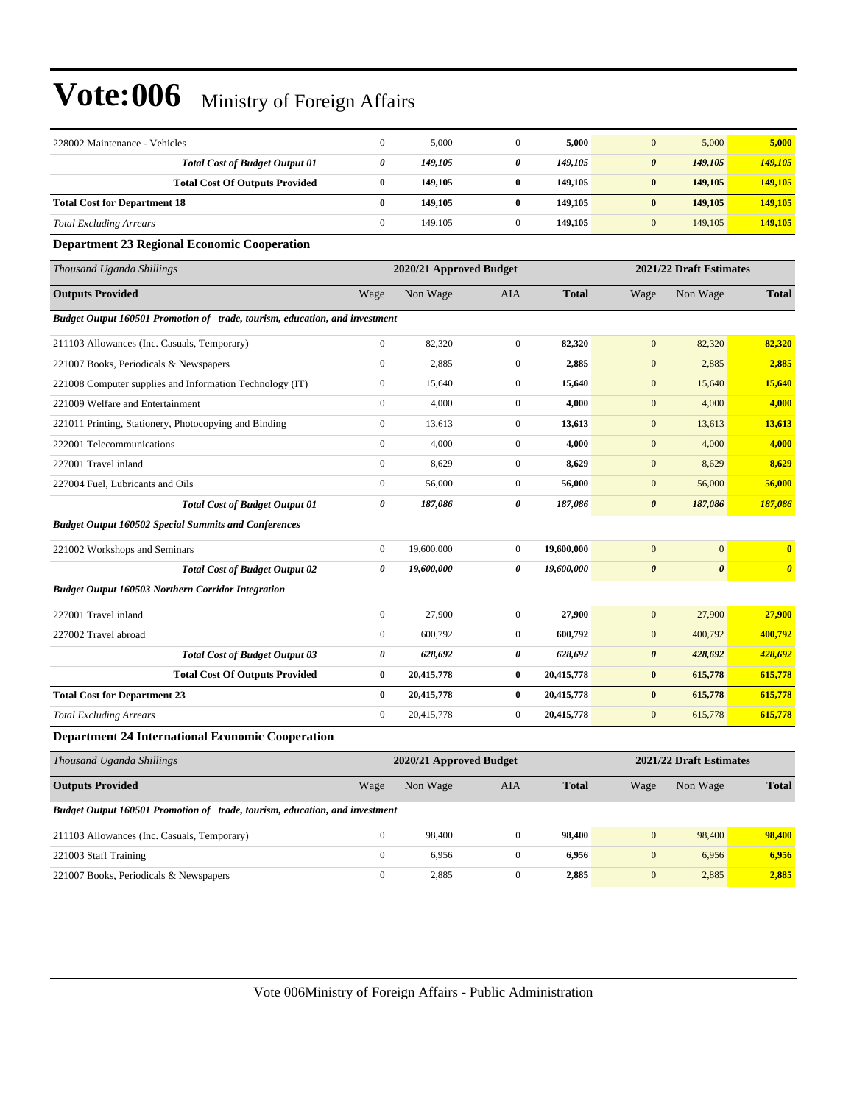| 228002 Maintenance - Vehicles                                               | $\boldsymbol{0}$ | 5,000                   | $\mathbf{0}$          | 5,000        | $\mathbf{0}$          | 5,000                   | 5,000                 |
|-----------------------------------------------------------------------------|------------------|-------------------------|-----------------------|--------------|-----------------------|-------------------------|-----------------------|
| <b>Total Cost of Budget Output 01</b>                                       | 0                | 149,105                 | $\boldsymbol{\theta}$ | 149,105      | $\boldsymbol{\theta}$ | 149,105                 | <b>149,105</b>        |
| <b>Total Cost Of Outputs Provided</b>                                       | $\bf{0}$         | 149,105                 | $\bf{0}$              | 149,105      | $\bf{0}$              | 149,105                 | 149,105               |
| <b>Total Cost for Department 18</b>                                         | $\bf{0}$         | 149,105                 | $\bf{0}$              | 149,105      | $\bf{0}$              | 149,105                 | 149,105               |
| <b>Total Excluding Arrears</b>                                              | $\boldsymbol{0}$ | 149,105                 | $\mathbf{0}$          | 149,105      | $\mathbf{0}$          | 149,105                 | 149,105               |
| <b>Department 23 Regional Economic Cooperation</b>                          |                  |                         |                       |              |                       |                         |                       |
| Thousand Uganda Shillings                                                   |                  | 2020/21 Approved Budget |                       |              |                       | 2021/22 Draft Estimates |                       |
| <b>Outputs Provided</b>                                                     | Wage             | Non Wage                | AIA                   | <b>Total</b> | Wage                  | Non Wage                | <b>Total</b>          |
| Budget Output 160501 Promotion of trade, tourism, education, and investment |                  |                         |                       |              |                       |                         |                       |
| 211103 Allowances (Inc. Casuals, Temporary)                                 | $\boldsymbol{0}$ | 82,320                  | $\mathbf{0}$          | 82,320       | $\mathbf{0}$          | 82,320                  | 82,320                |
| 221007 Books, Periodicals & Newspapers                                      | $\boldsymbol{0}$ | 2,885                   | $\mathbf{0}$          | 2,885        | $\boldsymbol{0}$      | 2,885                   | 2,885                 |
| 221008 Computer supplies and Information Technology (IT)                    | $\boldsymbol{0}$ | 15,640                  | $\mathbf{0}$          | 15,640       | $\mathbf{0}$          | 15,640                  | 15,640                |
| 221009 Welfare and Entertainment                                            | $\boldsymbol{0}$ | 4,000                   | $\mathbf{0}$          | 4,000        | $\boldsymbol{0}$      | 4,000                   | 4,000                 |
| 221011 Printing, Stationery, Photocopying and Binding                       | $\boldsymbol{0}$ | 13,613                  | $\mathbf{0}$          | 13,613       | $\mathbf{0}$          | 13,613                  | 13,613                |
| 222001 Telecommunications                                                   | $\boldsymbol{0}$ | 4,000                   | $\mathbf{0}$          | 4,000        | $\mathbf{0}$          | 4,000                   | 4,000                 |
| 227001 Travel inland                                                        | $\boldsymbol{0}$ | 8,629                   | $\mathbf{0}$          | 8,629        | $\mathbf{0}$          | 8,629                   | 8,629                 |
| 227004 Fuel, Lubricants and Oils                                            | $\boldsymbol{0}$ | 56,000                  | $\mathbf{0}$          | 56,000       | $\mathbf{0}$          | 56,000                  | 56,000                |
| <b>Total Cost of Budget Output 01</b>                                       | 0                | 187,086                 | $\boldsymbol{\theta}$ | 187,086      | $\boldsymbol{\theta}$ | 187,086                 | 187,086               |
| <b>Budget Output 160502 Special Summits and Conferences</b>                 |                  |                         |                       |              |                       |                         |                       |
| 221002 Workshops and Seminars                                               | $\boldsymbol{0}$ | 19,600,000              | $\mathbf{0}$          | 19,600,000   | $\boldsymbol{0}$      | $\boldsymbol{0}$        | $\bf{0}$              |
| <b>Total Cost of Budget Output 02</b>                                       | 0                | 19,600,000              | 0                     | 19,600,000   | $\boldsymbol{\theta}$ | $\boldsymbol{\theta}$   | $\boldsymbol{\theta}$ |
| <b>Budget Output 160503 Northern Corridor Integration</b>                   |                  |                         |                       |              |                       |                         |                       |
| 227001 Travel inland                                                        | $\boldsymbol{0}$ | 27,900                  | $\mathbf{0}$          | 27,900       | $\mathbf{0}$          | 27,900                  | 27,900                |
| 227002 Travel abroad                                                        | $\boldsymbol{0}$ | 600,792                 | $\mathbf{0}$          | 600,792      | $\mathbf{0}$          | 400,792                 | 400,792               |
| <b>Total Cost of Budget Output 03</b>                                       | 0                | 628,692                 | 0                     | 628,692      | 0                     | 428,692                 | 428,692               |
| <b>Total Cost Of Outputs Provided</b>                                       | $\bf{0}$         | 20,415,778              | $\bf{0}$              | 20,415,778   | $\bf{0}$              | 615,778                 | 615,778               |
| <b>Total Cost for Department 23</b>                                         | $\bf{0}$         | 20,415,778              | $\bf{0}$              | 20,415,778   | $\bf{0}$              | 615,778                 | 615,778               |
| <b>Total Excluding Arrears</b>                                              | $\boldsymbol{0}$ | 20,415,778              | $\mathbf{0}$          | 20,415,778   | $\boldsymbol{0}$      | 615,778                 | 615,778               |
| <b>Department 24 International Economic Cooperation</b>                     |                  |                         |                       |              |                       |                         |                       |
| Thousand Uganda Shillings                                                   |                  | 2020/21 Approved Budget |                       |              |                       | 2021/22 Draft Estimates |                       |
| <b>Outputs Provided</b>                                                     | Wage             | Non Wage                | AIA                   | <b>Total</b> | Wage                  | Non Wage                | <b>Total</b>          |
| Budget Output 160501 Promotion of trade, tourism, education, and investment |                  |                         |                       |              |                       |                         |                       |
| 211103 Allowances (Inc. Casuals, Temporary)                                 | $\boldsymbol{0}$ | 98,400                  | $\mathbf{0}$          | 98,400       | $\mathbf{0}$          | 98,400                  | 98,400                |
| 221003 Staff Training                                                       | $\mathbf{0}$     | 6,956                   | $\boldsymbol{0}$      | 6,956        | $\mathbf{0}$          | 6,956                   | 6,956                 |
| 221007 Books, Periodicals & Newspapers                                      | $\boldsymbol{0}$ | 2,885                   | $\boldsymbol{0}$      | 2,885        | $\boldsymbol{0}$      | 2,885                   | 2,885                 |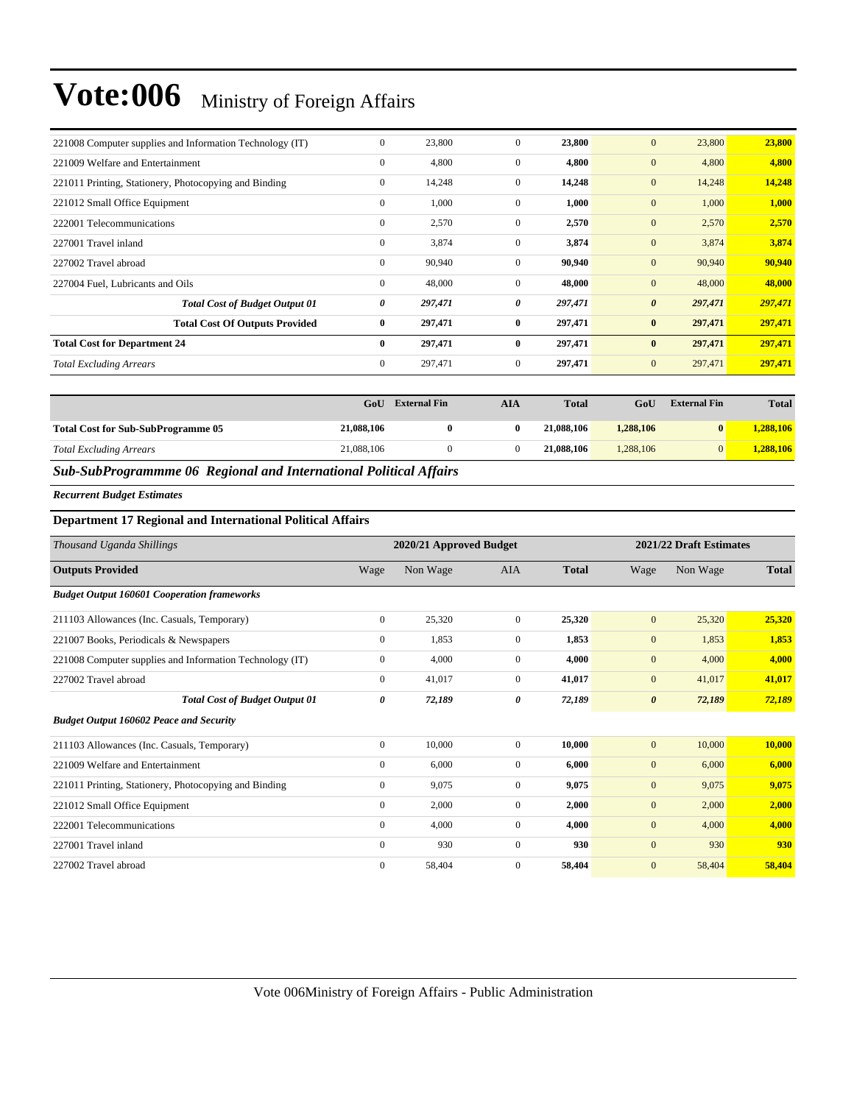| 221008 Computer supplies and Information Technology (IT) | $\mathbf{0}$ | 23,800  | $\mathbf{0}$   | 23,800  | 23,800<br>$\mathbf{0}$           | 23,800  |
|----------------------------------------------------------|--------------|---------|----------------|---------|----------------------------------|---------|
| 221009 Welfare and Entertainment                         | $\mathbf{0}$ | 4,800   | $\mathbf{0}$   | 4,800   | $\mathbf{0}$<br>4,800            | 4,800   |
| 221011 Printing, Stationery, Photocopying and Binding    | $\mathbf{0}$ | 14,248  | $\mathbf{0}$   | 14,248  | $\mathbf{0}$<br>14,248           | 14,248  |
| 221012 Small Office Equipment                            | $\mathbf{0}$ | 1,000   | $\mathbf{0}$   | 1,000   | $\mathbf{0}$<br>1,000            | 1,000   |
| 222001 Telecommunications                                | $\mathbf{0}$ | 2,570   | $\mathbf{0}$   | 2,570   | $\mathbf{0}$<br>2,570            | 2,570   |
| 227001 Travel inland                                     | $\mathbf{0}$ | 3,874   | $\mathbf{0}$   | 3,874   | $\mathbf{0}$<br>3,874            | 3,874   |
| 227002 Travel abroad                                     | $\mathbf{0}$ | 90,940  | $\mathbf{0}$   | 90,940  | $\mathbf{0}$<br>90,940           | 90,940  |
| 227004 Fuel, Lubricants and Oils                         | $\mathbf{0}$ | 48,000  | $\mathbf{0}$   | 48,000  | $\mathbf{0}$<br>48,000           | 48,000  |
| <b>Total Cost of Budget Output 01</b>                    | 0            | 297,471 | 0              | 297,471 | $\boldsymbol{\theta}$<br>297,471 | 297,471 |
| <b>Total Cost Of Outputs Provided</b>                    | $\bf{0}$     | 297,471 | $\bf{0}$       | 297,471 | $\bf{0}$<br>297,471              | 297,471 |
| <b>Total Cost for Department 24</b>                      | $\bf{0}$     | 297,471 | $\mathbf{0}$   | 297,471 | 297,471<br>$\bf{0}$              | 297,471 |
| <b>Total Excluding Arrears</b>                           | $\mathbf{0}$ | 297,471 | $\overline{0}$ | 297,471 | $\mathbf{0}$<br>297,471          | 297,471 |

|                                           | GoU        | <b>External Fin</b> | AIA | <b>Total</b> | GoU       | <b>External Fin</b> | <b>Total</b> |
|-------------------------------------------|------------|---------------------|-----|--------------|-----------|---------------------|--------------|
| <b>Total Cost for Sub-SubProgramme 05</b> | 21,088,106 |                     | 0   | 21,088,106   | 1,288,106 | $\mathbf{0}$        | 1,288,106    |
| <b>Total Excluding Arrears</b>            | 21,088,106 |                     |     | 21,088,106   | 1.288.106 | $\Omega$            | 1.288.106    |

#### *Sub-SubProgrammme 06 Regional and International Political Affairs*

*Recurrent Budget Estimates*

#### **Department 17 Regional and International Political Affairs**

| Thousand Uganda Shillings                                |              | 2020/21 Approved Budget |                |              | 2021/22 Draft Estimates |          |              |  |
|----------------------------------------------------------|--------------|-------------------------|----------------|--------------|-------------------------|----------|--------------|--|
| <b>Outputs Provided</b>                                  | Wage         | Non Wage                | <b>AIA</b>     | <b>Total</b> | Wage                    | Non Wage | <b>Total</b> |  |
| <b>Budget Output 160601 Cooperation frameworks</b>       |              |                         |                |              |                         |          |              |  |
| 211103 Allowances (Inc. Casuals, Temporary)              | $\mathbf{0}$ | 25,320                  | $\mathbf{0}$   | 25,320       | $\mathbf{0}$            | 25,320   | 25,320       |  |
| 221007 Books, Periodicals & Newspapers                   | $\mathbf{0}$ | 1,853                   | $\overline{0}$ | 1,853        | $\mathbf{0}$            | 1,853    | 1,853        |  |
| 221008 Computer supplies and Information Technology (IT) | $\mathbf{0}$ | 4,000                   | $\overline{0}$ | 4,000        | $\mathbf{0}$            | 4,000    | 4,000        |  |
| 227002 Travel abroad                                     | $\Omega$     | 41,017                  | $\overline{0}$ | 41,017       | $\mathbf{0}$            | 41,017   | 41,017       |  |
| <b>Total Cost of Budget Output 01</b>                    | 0            | 72,189                  | 0              | 72,189       | $\boldsymbol{\theta}$   | 72,189   | 72,189       |  |
| <b>Budget Output 160602 Peace and Security</b>           |              |                         |                |              |                         |          |              |  |
| 211103 Allowances (Inc. Casuals, Temporary)              | $\Omega$     | 10,000                  | $\Omega$       | 10.000       | $\mathbf{0}$            | 10,000   | 10,000       |  |
| 221009 Welfare and Entertainment                         | $\mathbf{0}$ | 6,000                   | $\overline{0}$ | 6,000        | $\mathbf{0}$            | 6,000    | 6,000        |  |
| 221011 Printing, Stationery, Photocopying and Binding    | $\mathbf{0}$ | 9,075                   | $\mathbf{0}$   | 9,075        | $\mathbf{0}$            | 9,075    | 9,075        |  |
| 221012 Small Office Equipment                            | $\mathbf{0}$ | 2,000                   | $\mathbf{0}$   | 2,000        | $\mathbf{0}$            | 2,000    | 2,000        |  |
| 222001 Telecommunications                                | $\mathbf{0}$ | 4,000                   | $\mathbf{0}$   | 4,000        | $\mathbf{0}$            | 4,000    | 4,000        |  |
| 227001 Travel inland                                     | $\mathbf{0}$ | 930                     | 0              | 930          | $\mathbf{0}$            | 930      | 930          |  |
| 227002 Travel abroad                                     | $\Omega$     | 58,404                  | $\Omega$       | 58,404       | $\mathbf{0}$            | 58,404   | 58,404       |  |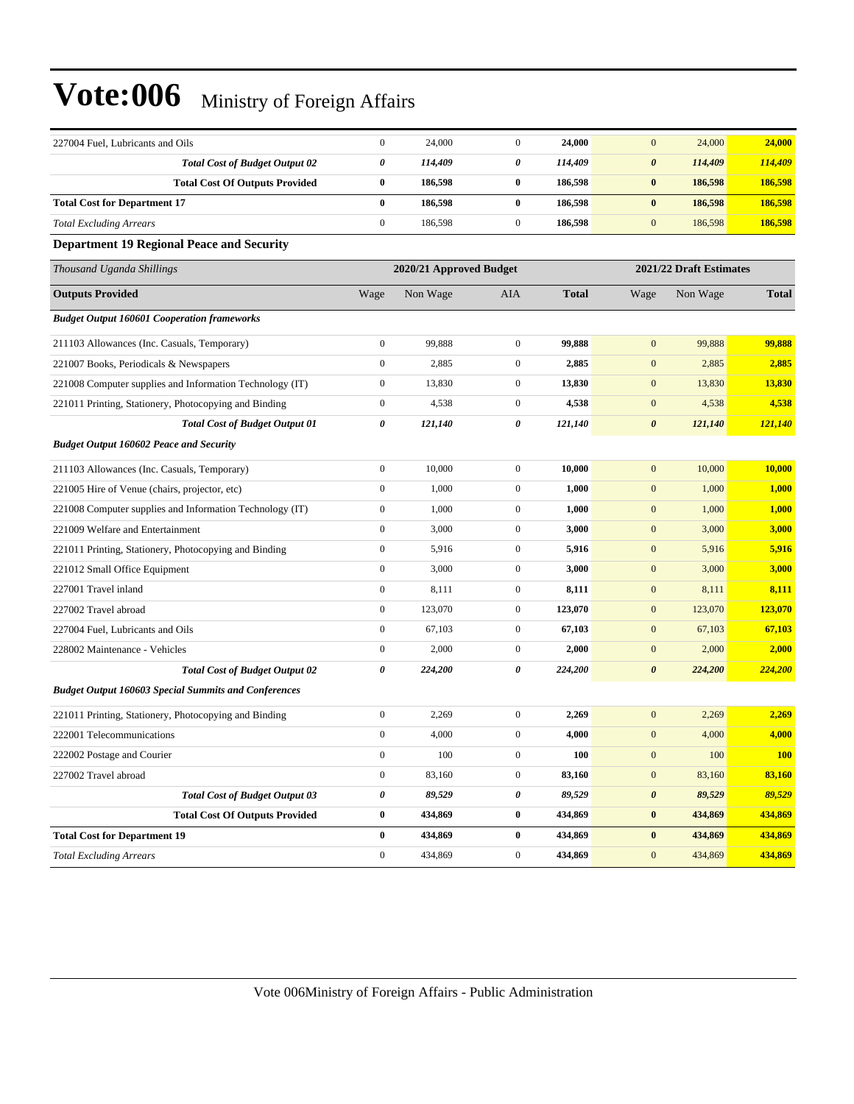| 227004 Fuel, Lubricants and Oils                            | $\boldsymbol{0}$      | 24,000                  | $\boldsymbol{0}$ | 24,000       | 24,000<br>$\mathbf{0}$           | 24,000       |
|-------------------------------------------------------------|-----------------------|-------------------------|------------------|--------------|----------------------------------|--------------|
| <b>Total Cost of Budget Output 02</b>                       | 0                     | 114,409                 | 0                | 114,409      | $\pmb{\theta}$<br>114,409        | 114,409      |
| <b>Total Cost Of Outputs Provided</b>                       | $\bf{0}$              | 186,598                 | $\bf{0}$         | 186,598      | $\bf{0}$<br>186,598              | 186,598      |
| <b>Total Cost for Department 17</b>                         | $\bf{0}$              | 186,598                 | $\bf{0}$         | 186,598      | $\bf{0}$<br>186,598              | 186,598      |
| <b>Total Excluding Arrears</b>                              | $\boldsymbol{0}$      | 186,598                 | $\overline{0}$   | 186,598      | $\boldsymbol{0}$<br>186,598      | 186,598      |
| <b>Department 19 Regional Peace and Security</b>            |                       |                         |                  |              |                                  |              |
| Thousand Uganda Shillings                                   |                       | 2020/21 Approved Budget |                  |              | 2021/22 Draft Estimates          |              |
| <b>Outputs Provided</b>                                     | Wage                  | Non Wage                | AIA              | <b>Total</b> | Non Wage<br>Wage                 | <b>Total</b> |
| <b>Budget Output 160601 Cooperation frameworks</b>          |                       |                         |                  |              |                                  |              |
| 211103 Allowances (Inc. Casuals, Temporary)                 | $\boldsymbol{0}$      | 99,888                  | $\boldsymbol{0}$ | 99,888       | $\mathbf{0}$<br>99,888           | 99,888       |
| 221007 Books, Periodicals & Newspapers                      | $\boldsymbol{0}$      | 2,885                   | $\boldsymbol{0}$ | 2,885        | $\boldsymbol{0}$<br>2,885        | 2,885        |
| 221008 Computer supplies and Information Technology (IT)    | $\boldsymbol{0}$      | 13,830                  | $\mathbf{0}$     | 13,830       | $\boldsymbol{0}$<br>13,830       | 13,830       |
| 221011 Printing, Stationery, Photocopying and Binding       | $\boldsymbol{0}$      | 4,538                   | $\mathbf{0}$     | 4,538        | $\boldsymbol{0}$<br>4,538        | 4,538        |
| <b>Total Cost of Budget Output 01</b>                       | 0                     | 121,140                 | 0                | 121,140      | $\pmb{\theta}$<br>121,140        | 121,140      |
| <b>Budget Output 160602 Peace and Security</b>              |                       |                         |                  |              |                                  |              |
| 211103 Allowances (Inc. Casuals, Temporary)                 | $\boldsymbol{0}$      | 10,000                  | $\boldsymbol{0}$ | 10,000       | $\boldsymbol{0}$<br>10,000       | 10,000       |
| 221005 Hire of Venue (chairs, projector, etc)               | $\boldsymbol{0}$      | 1,000                   | $\boldsymbol{0}$ | 1,000        | 1,000<br>$\boldsymbol{0}$        | 1,000        |
| 221008 Computer supplies and Information Technology (IT)    | $\boldsymbol{0}$      | 1,000                   | $\mathbf{0}$     | 1,000        | $\boldsymbol{0}$<br>1,000        | 1,000        |
| 221009 Welfare and Entertainment                            | $\boldsymbol{0}$      | 3,000                   | $\mathbf{0}$     | 3,000        | $\boldsymbol{0}$<br>3,000        | 3,000        |
| 221011 Printing, Stationery, Photocopying and Binding       | $\boldsymbol{0}$      | 5,916                   | $\boldsymbol{0}$ | 5,916        | $\boldsymbol{0}$<br>5,916        | 5,916        |
| 221012 Small Office Equipment                               | $\boldsymbol{0}$      | 3,000                   | $\boldsymbol{0}$ | 3,000        | $\boldsymbol{0}$<br>3,000        | 3,000        |
| 227001 Travel inland                                        | $\boldsymbol{0}$      | 8,111                   | $\boldsymbol{0}$ | 8,111        | $\boldsymbol{0}$<br>8,111        | 8,111        |
| 227002 Travel abroad                                        | $\boldsymbol{0}$      | 123,070                 | $\mathbf{0}$     | 123,070      | $\boldsymbol{0}$<br>123,070      | 123,070      |
| 227004 Fuel, Lubricants and Oils                            | $\boldsymbol{0}$      | 67,103                  | $\mathbf{0}$     | 67,103       | $\boldsymbol{0}$<br>67,103       | 67,103       |
| 228002 Maintenance - Vehicles                               | $\boldsymbol{0}$      | 2,000                   | $\mathbf{0}$     | 2,000        | $\boldsymbol{0}$<br>2,000        | 2,000        |
| <b>Total Cost of Budget Output 02</b>                       | $\boldsymbol{\theta}$ | 224,200                 | 0                | 224,200      | $\boldsymbol{\theta}$<br>224,200 | 224,200      |
| <b>Budget Output 160603 Special Summits and Conferences</b> |                       |                         |                  |              |                                  |              |
| 221011 Printing, Stationery, Photocopying and Binding       | $\boldsymbol{0}$      | 2,269                   | $\boldsymbol{0}$ | 2,269        | $\boldsymbol{0}$<br>2,269        | 2,269        |
| 222001 Telecommunications                                   | $\boldsymbol{0}$      | 4,000                   | $\mathbf{0}$     | 4,000        | $\mathbf{0}$<br>4,000            | 4,000        |
| 222002 Postage and Courier                                  | $\boldsymbol{0}$      | $100\,$                 | $\mathbf{0}$     | 100          | 100<br>$\bf{0}$                  | <b>100</b>   |
| 227002 Travel abroad                                        | $\boldsymbol{0}$      | 83,160                  | $\boldsymbol{0}$ | 83,160       | $\boldsymbol{0}$<br>83,160       | 83,160       |
| <b>Total Cost of Budget Output 03</b>                       | $\pmb{\theta}$        | 89,529                  | 0                | 89,529       | $\pmb{\theta}$<br>89,529         | 89,529       |
| <b>Total Cost Of Outputs Provided</b>                       | $\bf{0}$              | 434,869                 | $\pmb{0}$        | 434,869      | 434,869<br>$\pmb{0}$             | 434,869      |
| <b>Total Cost for Department 19</b>                         | $\bf{0}$              | 434,869                 | $\bf{0}$         | 434,869      | 434,869<br>$\bf{0}$              | 434,869      |
| <b>Total Excluding Arrears</b>                              | $\boldsymbol{0}$      | 434,869                 | $\boldsymbol{0}$ | 434,869      | $\boldsymbol{0}$<br>434,869      | 434,869      |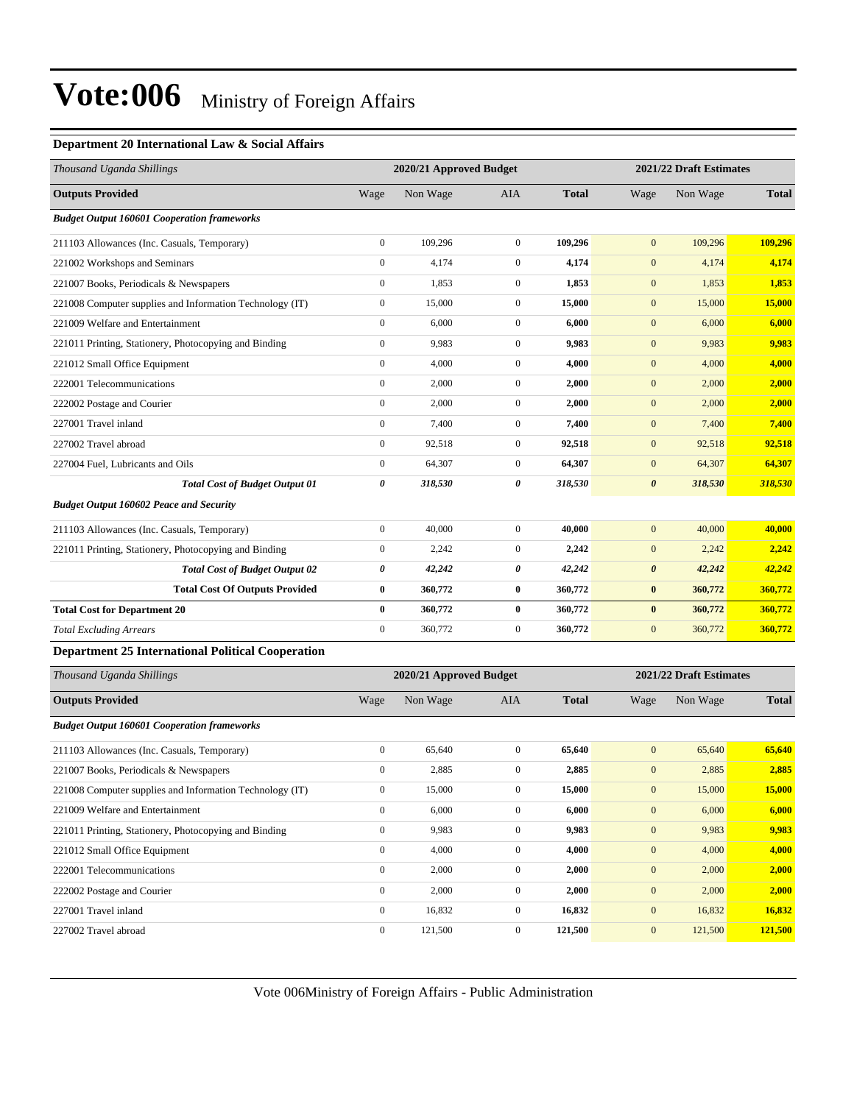#### **Department 20 International Law & Social Affairs**

| Thousand Uganda Shillings                                |                  | 2020/21 Approved Budget |                  |              |                       | 2021/22 Draft Estimates |              |  |
|----------------------------------------------------------|------------------|-------------------------|------------------|--------------|-----------------------|-------------------------|--------------|--|
| <b>Outputs Provided</b>                                  | Wage             | Non Wage                | AIA              | <b>Total</b> | Wage                  | Non Wage                | <b>Total</b> |  |
| <b>Budget Output 160601 Cooperation frameworks</b>       |                  |                         |                  |              |                       |                         |              |  |
| 211103 Allowances (Inc. Casuals, Temporary)              | $\boldsymbol{0}$ | 109,296                 | $\mathbf{0}$     | 109,296      | $\mathbf{0}$          | 109,296                 | 109,296      |  |
| 221002 Workshops and Seminars                            | $\boldsymbol{0}$ | 4,174                   | $\mathbf{0}$     | 4,174        | $\mathbf{0}$          | 4,174                   | 4,174        |  |
| 221007 Books, Periodicals & Newspapers                   | $\boldsymbol{0}$ | 1,853                   | $\boldsymbol{0}$ | 1,853        | $\boldsymbol{0}$      | 1,853                   | 1,853        |  |
| 221008 Computer supplies and Information Technology (IT) | $\boldsymbol{0}$ | 15,000                  | $\boldsymbol{0}$ | 15,000       | $\mathbf{0}$          | 15,000                  | 15,000       |  |
| 221009 Welfare and Entertainment                         | $\boldsymbol{0}$ | 6,000                   | $\boldsymbol{0}$ | 6,000        | $\mathbf{0}$          | 6,000                   | 6,000        |  |
| 221011 Printing, Stationery, Photocopying and Binding    | $\boldsymbol{0}$ | 9,983                   | $\mathbf{0}$     | 9,983        | $\mathbf{0}$          | 9,983                   | 9,983        |  |
| 221012 Small Office Equipment                            | $\boldsymbol{0}$ | 4,000                   | $\mathbf{0}$     | 4,000        | $\mathbf{0}$          | 4,000                   | 4,000        |  |
| 222001 Telecommunications                                | $\boldsymbol{0}$ | 2,000                   | $\mathbf{0}$     | 2,000        | $\boldsymbol{0}$      | 2,000                   | 2,000        |  |
| 222002 Postage and Courier                               | $\boldsymbol{0}$ | 2,000                   | $\mathbf{0}$     | 2,000        | $\mathbf{0}$          | 2,000                   | 2,000        |  |
| 227001 Travel inland                                     | $\boldsymbol{0}$ | 7,400                   | $\mathbf{0}$     | 7,400        | $\mathbf{0}$          | 7,400                   | 7,400        |  |
| 227002 Travel abroad                                     | $\boldsymbol{0}$ | 92,518                  | $\mathbf{0}$     | 92,518       | $\mathbf{0}$          | 92,518                  | 92,518       |  |
| 227004 Fuel, Lubricants and Oils                         | $\boldsymbol{0}$ | 64,307                  | $\mathbf{0}$     | 64,307       | $\mathbf{0}$          | 64,307                  | 64,307       |  |
| <b>Total Cost of Budget Output 01</b>                    | 0                | 318,530                 | $\pmb{\theta}$   | 318,530      | $\boldsymbol{\theta}$ | 318,530                 | 318,530      |  |
| <b>Budget Output 160602 Peace and Security</b>           |                  |                         |                  |              |                       |                         |              |  |
| 211103 Allowances (Inc. Casuals, Temporary)              | $\boldsymbol{0}$ | 40,000                  | $\mathbf{0}$     | 40,000       | $\mathbf{0}$          | 40,000                  | 40,000       |  |
| 221011 Printing, Stationery, Photocopying and Binding    | $\boldsymbol{0}$ | 2,242                   | $\boldsymbol{0}$ | 2,242        | $\mathbf{0}$          | 2,242                   | 2,242        |  |
| <b>Total Cost of Budget Output 02</b>                    | 0                | 42,242                  | 0                | 42,242       | $\boldsymbol{\theta}$ | 42,242                  | 42,242       |  |
| <b>Total Cost Of Outputs Provided</b>                    | 0                | 360,772                 | $\bf{0}$         | 360,772      | $\pmb{0}$             | 360,772                 | 360,772      |  |
| <b>Total Cost for Department 20</b>                      | $\bf{0}$         | 360,772                 | $\bf{0}$         | 360,772      | $\pmb{0}$             | 360,772                 | 360,772      |  |
| <b>Total Excluding Arrears</b>                           | $\boldsymbol{0}$ | 360,772                 | $\boldsymbol{0}$ | 360,772      | $\boldsymbol{0}$      | 360,772                 | 360,772      |  |
| <b>Department 25 International Political Cooperation</b> |                  |                         |                  |              |                       |                         |              |  |
| Thousand Uganda Shillings                                |                  | 2020/21 Approved Budget |                  |              |                       | 2021/22 Draft Estimates |              |  |
| <b>Outputs Provided</b>                                  | Wage             | Non Wage                | AIA              | <b>Total</b> | Wage                  | Non Wage                | <b>Total</b> |  |
| <b>Budget Output 160601 Cooperation frameworks</b>       |                  |                         |                  |              |                       |                         |              |  |
| 211103 Allowances (Inc. Casuals, Temporary)              | $\boldsymbol{0}$ | 65,640                  | $\boldsymbol{0}$ | 65,640       | $\mathbf{0}$          | 65,640                  | 65,640       |  |
| 221007 Books, Periodicals & Newspapers                   | $\boldsymbol{0}$ | 2,885                   | $\mathbf{0}$     | 2,885        | $\boldsymbol{0}$      | 2,885                   | 2,885        |  |
| 221008 Computer supplies and Information Technology (IT) | $\boldsymbol{0}$ | 15,000                  | $\boldsymbol{0}$ | 15,000       | $\boldsymbol{0}$      | 15,000                  | 15,000       |  |
| 221009 Welfare and Entertainment                         | $\boldsymbol{0}$ | 6,000                   | $\boldsymbol{0}$ | 6,000        | $\boldsymbol{0}$      | 6,000                   | 6,000        |  |
| 221011 Printing, Stationery, Photocopying and Binding    | $\boldsymbol{0}$ | 9,983                   | $\boldsymbol{0}$ | 9,983        | $\mathbf{0}$          | 9,983                   | 9,983        |  |
| 221012 Small Office Equipment                            | $\boldsymbol{0}$ | 4,000                   | $\boldsymbol{0}$ | 4,000        | $\boldsymbol{0}$      | 4,000                   | 4,000        |  |
| 222001 Telecommunications                                | $\boldsymbol{0}$ | 2,000                   | $\boldsymbol{0}$ | 2,000        | $\mathbf{0}$          | 2,000                   | 2,000        |  |
| 222002 Postage and Courier                               | $\boldsymbol{0}$ | 2,000                   | $\boldsymbol{0}$ | 2,000        | $\mathbf{0}$          | 2,000                   | 2,000        |  |
| 227001 Travel inland                                     | $\boldsymbol{0}$ | 16,832                  | $\boldsymbol{0}$ | 16,832       | $\boldsymbol{0}$      | 16,832                  | 16,832       |  |
| 227002 Travel abroad                                     | $\boldsymbol{0}$ | 121,500                 | $\boldsymbol{0}$ | 121,500      | $\boldsymbol{0}$      | 121,500                 | 121,500      |  |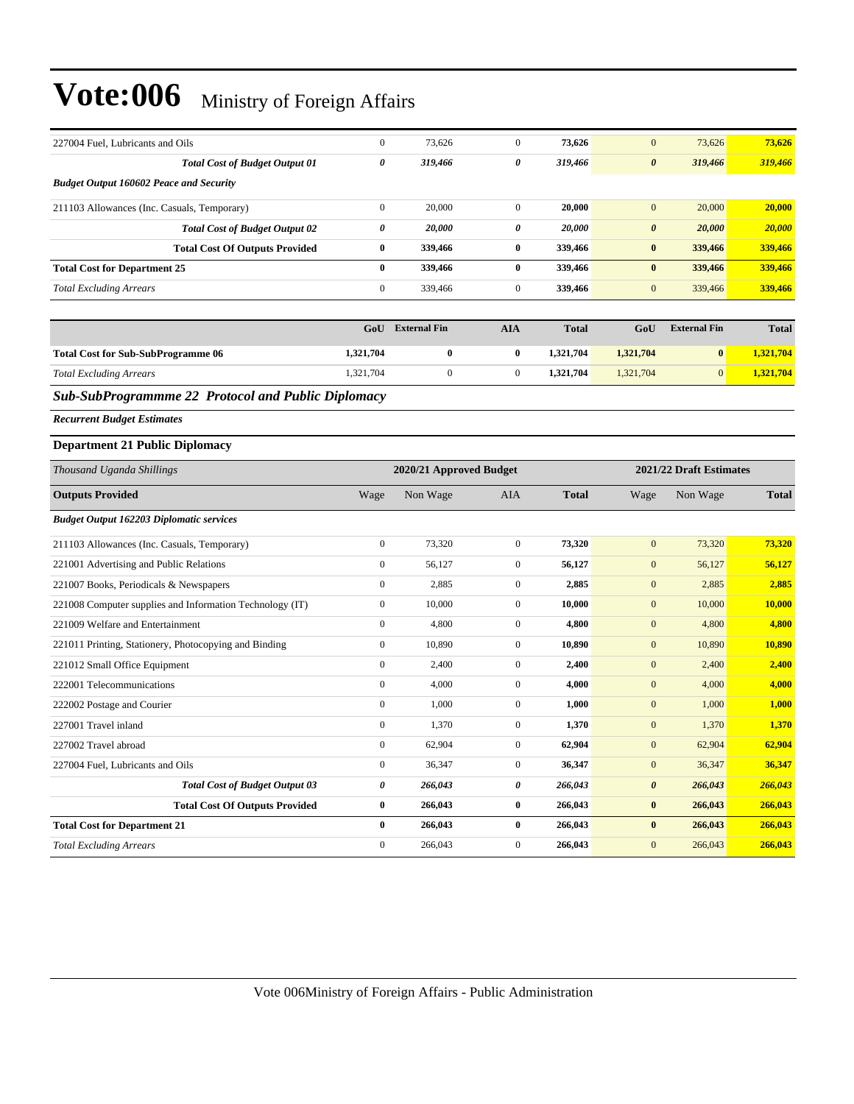| 227004 Fuel, Lubricants and Oils                          | $\boldsymbol{0}$         | 73,626                  | $\mathbf{0}$               | 73,626             | $\boldsymbol{0}$          | 73,626                  | 73,626             |
|-----------------------------------------------------------|--------------------------|-------------------------|----------------------------|--------------------|---------------------------|-------------------------|--------------------|
| <b>Total Cost of Budget Output 01</b>                     | 0                        | 319,466                 | 0                          | 319,466            | $\boldsymbol{\theta}$     | 319,466                 | 319,466            |
| <b>Budget Output 160602 Peace and Security</b>            |                          |                         |                            |                    |                           |                         |                    |
| 211103 Allowances (Inc. Casuals, Temporary)               | $\boldsymbol{0}$         | 20,000                  | $\boldsymbol{0}$           | 20,000             | $\mathbf{0}$              | 20,000                  | 20,000             |
| <b>Total Cost of Budget Output 02</b>                     | 0                        | 20,000                  | 0                          | 20,000             | $\boldsymbol{\theta}$     | 20,000                  | 20,000             |
| <b>Total Cost Of Outputs Provided</b>                     | $\bf{0}$                 | 339.466                 | $\bf{0}$                   | 339,466            | $\bf{0}$                  | 339,466                 | 339,466            |
| <b>Total Cost for Department 25</b>                       | $\bf{0}$                 | 339,466                 | $\bf{0}$                   | 339,466            | $\bf{0}$                  | 339,466                 | 339,466            |
| <b>Total Excluding Arrears</b>                            | $\boldsymbol{0}$         | 339,466                 | $\mathbf{0}$               | 339,466            | $\mathbf{0}$              | 339,466                 | 339,466            |
|                                                           |                          |                         |                            |                    |                           |                         |                    |
|                                                           | GoU                      | <b>External Fin</b>     | <b>AIA</b>                 | <b>Total</b>       | GoU                       | <b>External Fin</b>     | <b>Total</b>       |
| <b>Total Cost for Sub-SubProgramme 06</b>                 | 1,321,704                | $\bf{0}$                | $\bf{0}$                   | 1,321,704          | 1,321,704                 | $\bf{0}$                | 1,321,704          |
| <b>Total Excluding Arrears</b>                            | 1,321,704                | $\boldsymbol{0}$        | $\boldsymbol{0}$           | 1,321,704          | 1,321,704                 | $\mathbf{0}$            | 1,321,704          |
| <b>Sub-SubProgrammme 22 Protocol and Public Diplomacy</b> |                          |                         |                            |                    |                           |                         |                    |
| <b>Recurrent Budget Estimates</b>                         |                          |                         |                            |                    |                           |                         |                    |
| <b>Department 21 Public Diplomacy</b>                     |                          |                         |                            |                    |                           |                         |                    |
| Thousand Uganda Shillings                                 |                          | 2020/21 Approved Budget |                            |                    |                           | 2021/22 Draft Estimates |                    |
| <b>Outputs Provided</b>                                   | Wage                     | Non Wage                | AIA                        | <b>Total</b>       | Wage                      | Non Wage                | <b>Total</b>       |
| <b>Budget Output 162203 Diplomatic services</b>           |                          |                         |                            |                    |                           |                         |                    |
|                                                           |                          |                         |                            |                    |                           |                         |                    |
| 211103 Allowances (Inc. Casuals, Temporary)               | $\boldsymbol{0}$         | 73,320                  | $\mathbf{0}$               | 73,320             | $\mathbf{0}$              | 73,320                  | 73,320             |
| 221001 Advertising and Public Relations                   | $\boldsymbol{0}$         | 56,127                  | $\mathbf{0}$               | 56,127             | $\mathbf{0}$              | 56,127                  | 56,127             |
| 221007 Books, Periodicals & Newspapers                    | $\boldsymbol{0}$         | 2,885                   | $\mathbf 0$                | 2,885              | $\boldsymbol{0}$          | 2,885                   | 2,885              |
| 221008 Computer supplies and Information Technology (IT)  | $\boldsymbol{0}$         | 10,000                  | $\mathbf{0}$               | 10,000             | $\mathbf{0}$              | 10,000                  | 10,000             |
| 221009 Welfare and Entertainment                          | $\boldsymbol{0}$         | 4,800                   | $\overline{0}$             | 4,800              | $\mathbf{0}$              | 4,800                   | 4,800              |
| 221011 Printing, Stationery, Photocopying and Binding     | $\boldsymbol{0}$         | 10,890                  | $\overline{0}$             | 10,890             | $\boldsymbol{0}$          | 10,890                  | 10,890             |
| 221012 Small Office Equipment                             | $\boldsymbol{0}$         | 2,400                   | $\mathbf{0}$               | 2,400              | $\mathbf{0}$              | 2,400                   | 2,400              |
| 222001 Telecommunications                                 | $\boldsymbol{0}$         | 4,000                   | $\overline{0}$             | 4,000              | $\mathbf{0}$              | 4,000                   | 4,000              |
| 222002 Postage and Courier                                | $\boldsymbol{0}$         | 1,000                   | $\boldsymbol{0}$           | 1,000              | $\boldsymbol{0}$          | 1,000                   | 1,000              |
| 227001 Travel inland                                      | $\boldsymbol{0}$         | 1,370                   | $\overline{0}$             | 1,370              | $\mathbf{0}$              | 1,370                   | 1,370              |
| 227002 Travel abroad                                      | $\boldsymbol{0}$         | 62,904                  | $\mathbf{0}$               | 62,904             | $\mathbf{0}$              | 62,904                  | 62,904             |
| 227004 Fuel, Lubricants and Oils                          | $\boldsymbol{0}$         | 36,347                  | $\boldsymbol{0}$           | 36,347             | $\boldsymbol{0}$          | 36,347                  | 36,347             |
| <b>Total Cost of Budget Output 03</b>                     | $\pmb{\theta}$           | 266,043                 | 0                          | 266,043            | $\boldsymbol{\theta}$     | 266,043                 | 266,043            |
| <b>Total Cost Of Outputs Provided</b>                     | $\bf{0}$                 | 266,043                 | $\bf{0}$                   | 266,043            | $\pmb{0}$                 | 266,043                 | 266,043            |
| <b>Total Cost for Department 21</b>                       |                          |                         |                            |                    |                           |                         |                    |
|                                                           | $\bf{0}$<br>$\mathbf{0}$ | 266,043<br>266,043      | $\bf{0}$<br>$\overline{0}$ | 266,043<br>266,043 | $\pmb{0}$<br>$\mathbf{0}$ | 266,043<br>266,043      | 266,043<br>266,043 |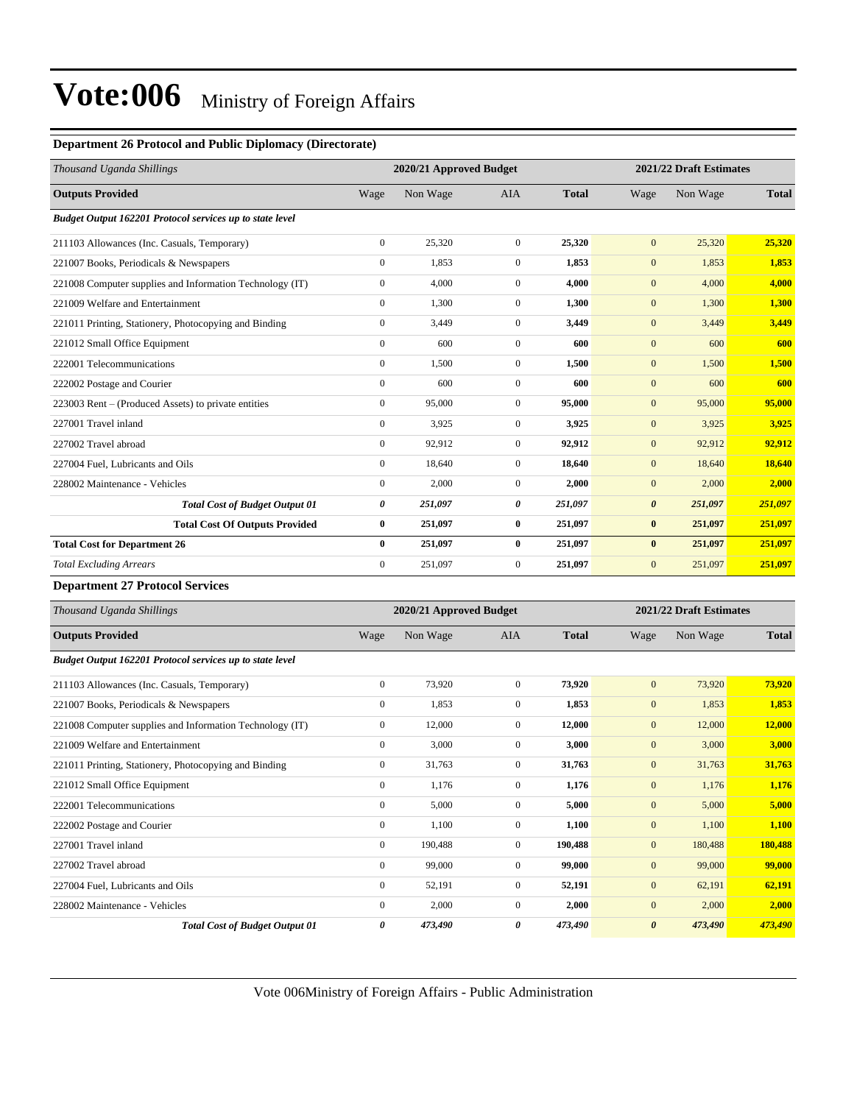#### **Department 26 Protocol and Public Diplomacy (Directorate)**

| Thousand Uganda Shillings                                |              | 2020/21 Approved Budget |                |              |                       | 2021/22 Draft Estimates |              |  |  |
|----------------------------------------------------------|--------------|-------------------------|----------------|--------------|-----------------------|-------------------------|--------------|--|--|
| <b>Outputs Provided</b>                                  | Wage         | Non Wage                | <b>AIA</b>     | <b>Total</b> | Wage                  | Non Wage                | <b>Total</b> |  |  |
| Budget Output 162201 Protocol services up to state level |              |                         |                |              |                       |                         |              |  |  |
| 211103 Allowances (Inc. Casuals, Temporary)              | $\mathbf{0}$ | 25,320                  | $\mathbf{0}$   | 25,320       | $\overline{0}$        | 25,320                  | 25,320       |  |  |
| 221007 Books, Periodicals & Newspapers                   | $\mathbf{0}$ | 1,853                   | $\overline{0}$ | 1,853        | $\mathbf{0}$          | 1,853                   | 1,853        |  |  |
| 221008 Computer supplies and Information Technology (IT) | $\mathbf{0}$ | 4,000                   | $\Omega$       | 4.000        | $\mathbf{0}$          | 4,000                   | 4,000        |  |  |
| 221009 Welfare and Entertainment                         | $\Omega$     | 1,300                   | $\Omega$       | 1,300        | $\mathbf{0}$          | 1,300                   | 1,300        |  |  |
| 221011 Printing, Stationery, Photocopying and Binding    | $\mathbf{0}$ | 3,449                   | $\overline{0}$ | 3,449        | $\mathbf{0}$          | 3,449                   | 3,449        |  |  |
| 221012 Small Office Equipment                            | $\mathbf{0}$ | 600                     | $\overline{0}$ | 600          | $\mathbf{0}$          | 600                     | 600          |  |  |
| 222001 Telecommunications                                | $\mathbf{0}$ | 1,500                   | $\overline{0}$ | 1,500        | $\mathbf{0}$          | 1,500                   | 1,500        |  |  |
| 222002 Postage and Courier                               | $\mathbf{0}$ | 600                     | $\Omega$       | 600          | $\overline{0}$        | 600                     | 600          |  |  |
| 223003 Rent – (Produced Assets) to private entities      | $\mathbf{0}$ | 95,000                  | $\overline{0}$ | 95,000       | $\overline{0}$        | 95,000                  | 95,000       |  |  |
| 227001 Travel inland                                     | $\mathbf{0}$ | 3,925                   | $\overline{0}$ | 3,925        | $\mathbf{0}$          | 3,925                   | 3.925        |  |  |
| 227002 Travel abroad                                     | $\mathbf{0}$ | 92,912                  | $\Omega$       | 92,912       | $\mathbf{0}$          | 92,912                  | 92,912       |  |  |
| 227004 Fuel, Lubricants and Oils                         | $\mathbf{0}$ | 18,640                  | $\overline{0}$ | 18,640       | $\mathbf{0}$          | 18,640                  | 18,640       |  |  |
| 228002 Maintenance - Vehicles                            | $\mathbf{0}$ | 2,000                   | $\overline{0}$ | 2,000        | $\mathbf{0}$          | 2,000                   | 2,000        |  |  |
| <b>Total Cost of Budget Output 01</b>                    | 0            | 251,097                 | 0              | 251,097      | $\boldsymbol{\theta}$ | 251,097                 | 251,097      |  |  |
| <b>Total Cost Of Outputs Provided</b>                    | $\bf{0}$     | 251,097                 | $\bf{0}$       | 251,097      | $\bf{0}$              | 251,097                 | 251,097      |  |  |
| <b>Total Cost for Department 26</b>                      | $\bf{0}$     | 251,097                 | $\bf{0}$       | 251.097      | $\bf{0}$              | 251,097                 | 251,097      |  |  |
| <b>Total Excluding Arrears</b>                           | $\mathbf{0}$ | 251,097                 | $\mathbf{0}$   | 251,097      | $\overline{0}$        | 251,097                 | 251,097      |  |  |

#### **Department 27 Protocol Services**

| Thousand Uganda Shillings                                | 2020/21 Approved Budget |          |              |              | 2021/22 Draft Estimates |          |              |
|----------------------------------------------------------|-------------------------|----------|--------------|--------------|-------------------------|----------|--------------|
| <b>Outputs Provided</b>                                  | Wage                    | Non Wage | <b>AIA</b>   | <b>Total</b> | Wage                    | Non Wage | <b>Total</b> |
| Budget Output 162201 Protocol services up to state level |                         |          |              |              |                         |          |              |
| 211103 Allowances (Inc. Casuals, Temporary)              | $\overline{0}$          | 73,920   | $\mathbf{0}$ | 73,920       | $\mathbf{0}$            | 73,920   | 73,920       |
| 221007 Books, Periodicals & Newspapers                   | $\overline{0}$          | 1,853    | $\mathbf{0}$ | 1,853        | $\mathbf{0}$            | 1,853    | 1,853        |
| 221008 Computer supplies and Information Technology (IT) | $\overline{0}$          | 12,000   | $\mathbf{0}$ | 12,000       | $\mathbf{0}$            | 12,000   | 12,000       |
| 221009 Welfare and Entertainment                         | $\Omega$                | 3,000    | $\mathbf{0}$ | 3.000        | $\overline{0}$          | 3,000    | 3,000        |
| 221011 Printing, Stationery, Photocopying and Binding    | $\mathbf{0}$            | 31,763   | $\mathbf{0}$ | 31,763       | $\mathbf{0}$            | 31,763   | 31,763       |
| 221012 Small Office Equipment                            | $\overline{0}$          | 1,176    | $\mathbf{0}$ | 1,176        | $\boldsymbol{0}$        | 1,176    | 1,176        |
| 222001 Telecommunications                                | $\overline{0}$          | 5,000    | $\mathbf{0}$ | 5,000        | $\mathbf{0}$            | 5,000    | 5,000        |
| 222002 Postage and Courier                               | $\overline{0}$          | 1,100    | $\mathbf{0}$ | 1,100        | $\mathbf{0}$            | 1,100    | 1,100        |
| 227001 Travel inland                                     | $\overline{0}$          | 190,488  | $\mathbf{0}$ | 190,488      | $\mathbf{0}$            | 180,488  | 180,488      |
| 227002 Travel abroad                                     | $\overline{0}$          | 99,000   | $\mathbf{0}$ | 99,000       | $\overline{0}$          | 99,000   | 99,000       |
| 227004 Fuel, Lubricants and Oils                         | $\overline{0}$          | 52,191   | $\mathbf{0}$ | 52,191       | $\boldsymbol{0}$        | 62,191   | 62,191       |
| 228002 Maintenance - Vehicles                            | $\overline{0}$          | 2,000    | $\mathbf{0}$ | 2,000        | $\overline{0}$          | 2,000    | 2,000        |
| <b>Total Cost of Budget Output 01</b>                    | 0                       | 473,490  | 0            | 473,490      | $\boldsymbol{\theta}$   | 473,490  | 473,490      |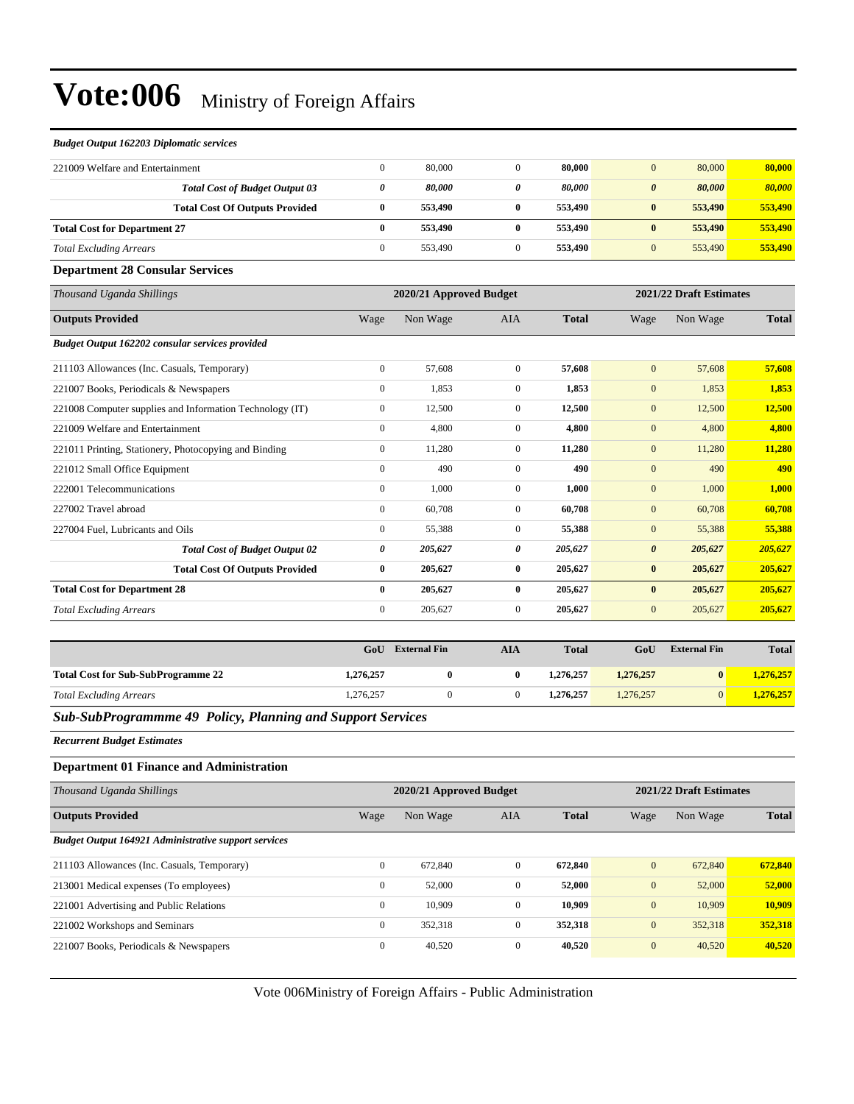#### *Budget Output 162203 Diplomatic services*

| 221009 Welfare and Entertainment    |                                       |   | 80,000  | 80,000  | 80,000<br>$\theta$              | 80,000  |
|-------------------------------------|---------------------------------------|---|---------|---------|---------------------------------|---------|
|                                     | <b>Total Cost of Budget Output 03</b> | 0 | 80,000  | 80,000  | 80,000<br>$\boldsymbol{\theta}$ | 80,000  |
|                                     | <b>Total Cost Of Outputs Provided</b> |   | 553,490 | 553,490 | 553,490<br>$\bf{0}$             | 553,490 |
| <b>Total Cost for Department 27</b> |                                       |   | 553,490 | 553,490 | 553,490<br>$\bf{0}$             | 553,490 |
| <b>Total Excluding Arrears</b>      |                                       |   | 553,490 | 553,490 | 553.490<br>$\mathbf{0}$         | 553,490 |

#### **Department 28 Consular Services**

| Thousand Uganda Shillings                                |                | 2020/21 Approved Budget |              |              |                | 2021/22 Draft Estimates |              |
|----------------------------------------------------------|----------------|-------------------------|--------------|--------------|----------------|-------------------------|--------------|
| <b>Outputs Provided</b>                                  | Wage           | Non Wage                | <b>AIA</b>   | <b>Total</b> | Wage           | Non Wage                | <b>Total</b> |
| Budget Output 162202 consular services provided          |                |                         |              |              |                |                         |              |
| 211103 Allowances (Inc. Casuals, Temporary)              | $\overline{0}$ | 57,608                  | $\mathbf{0}$ | 57,608       | $\overline{0}$ | 57,608                  | 57,608       |
| 221007 Books, Periodicals & Newspapers                   | $\overline{0}$ | 1,853                   | $\mathbf{0}$ | 1,853        | $\mathbf{0}$   | 1,853                   | 1,853        |
| 221008 Computer supplies and Information Technology (IT) | $\overline{0}$ | 12,500                  | $\mathbf{0}$ | 12,500       | $\mathbf{0}$   | 12,500                  | 12,500       |
| 221009 Welfare and Entertainment                         | $\overline{0}$ | 4,800                   | $\mathbf{0}$ | 4,800        | $\mathbf{0}$   | 4,800                   | 4,800        |
| 221011 Printing, Stationery, Photocopying and Binding    | $\overline{0}$ | 11,280                  | $\mathbf{0}$ | 11,280       | $\overline{0}$ | 11,280                  | 11,280       |
| 221012 Small Office Equipment                            | $\overline{0}$ | 490                     | $\mathbf{0}$ | 490          | $\mathbf{0}$   | 490                     | 490          |
| 222001 Telecommunications                                | $\overline{0}$ | 1,000                   | $\mathbf{0}$ | 1,000        | $\overline{0}$ | 1,000                   | 1,000        |
| 227002 Travel abroad                                     | $\overline{0}$ | 60,708                  | $\mathbf{0}$ | 60,708       | $\mathbf{0}$   | 60,708                  | 60,708       |
| 227004 Fuel, Lubricants and Oils                         | $\overline{0}$ | 55,388                  | $\mathbf{0}$ | 55,388       | $\mathbf{0}$   | 55,388                  | 55,388       |
| <b>Total Cost of Budget Output 02</b>                    | 0              | 205,627                 | 0            | 205,627      | 0              | 205,627                 | 205,627      |
| <b>Total Cost Of Outputs Provided</b>                    | $\bf{0}$       | 205,627                 | $\bf{0}$     | 205,627      | $\bf{0}$       | 205,627                 | 205,627      |
| <b>Total Cost for Department 28</b>                      | $\bf{0}$       | 205,627                 | $\bf{0}$     | 205,627      | $\bf{0}$       | 205,627                 | 205,627      |
| <b>Total Excluding Arrears</b>                           | $\overline{0}$ | 205,627                 | $\mathbf{0}$ | 205,627      | $\mathbf{0}$   | 205,627                 | 205,627      |

|                                           | GoU       | <b>External Fin</b> | AIA | <b>Total</b> | GoU       | <b>External Fin</b> | <b>Total</b> |
|-------------------------------------------|-----------|---------------------|-----|--------------|-----------|---------------------|--------------|
| <b>Total Cost for Sub-SubProgramme 22</b> | 1,276,257 |                     | 0   | 1,276,257    | 1,276,257 | $\mathbf{0}$        | 1,276,257    |
| <b>Total Excluding Arrears</b>            | 1,276,257 |                     |     | 1,276,257    | 1,276,257 | $\Omega$            | 1,276,257    |

#### *Sub-SubProgrammme 49 Policy, Planning and Support Services*

*Recurrent Budget Estimates*

#### **Department 01 Finance and Administration**

| Thousand Uganda Shillings                                   | 2020/21 Approved Budget |          |                |              |              | 2021/22 Draft Estimates |              |  |
|-------------------------------------------------------------|-------------------------|----------|----------------|--------------|--------------|-------------------------|--------------|--|
| <b>Outputs Provided</b>                                     | Wage                    | Non Wage | <b>AIA</b>     | <b>Total</b> | Wage         | Non Wage                | <b>Total</b> |  |
| <b>Budget Output 164921 Administrative support services</b> |                         |          |                |              |              |                         |              |  |
| 211103 Allowances (Inc. Casuals, Temporary)                 | $\overline{0}$          | 672,840  | $\overline{0}$ | 672,840      | $\mathbf{0}$ | 672,840                 | 672,840      |  |
| 213001 Medical expenses (To employees)                      | $\mathbf{0}$            | 52,000   | $\Omega$       | 52,000       | $\mathbf{0}$ | 52,000                  | 52,000       |  |
| 221001 Advertising and Public Relations                     | $\mathbf{0}$            | 10,909   | $\Omega$       | 10,909       | $\mathbf{0}$ | 10,909                  | 10,909       |  |
| 221002 Workshops and Seminars                               | $\mathbf{0}$            | 352.318  | $\Omega$       | 352,318      | $\mathbf{0}$ | 352,318                 | 352,318      |  |
| 221007 Books, Periodicals & Newspapers                      | $\mathbf{0}$            | 40,520   | $\mathbf{0}$   | 40,520       | $\mathbf{0}$ | 40,520                  | 40,520       |  |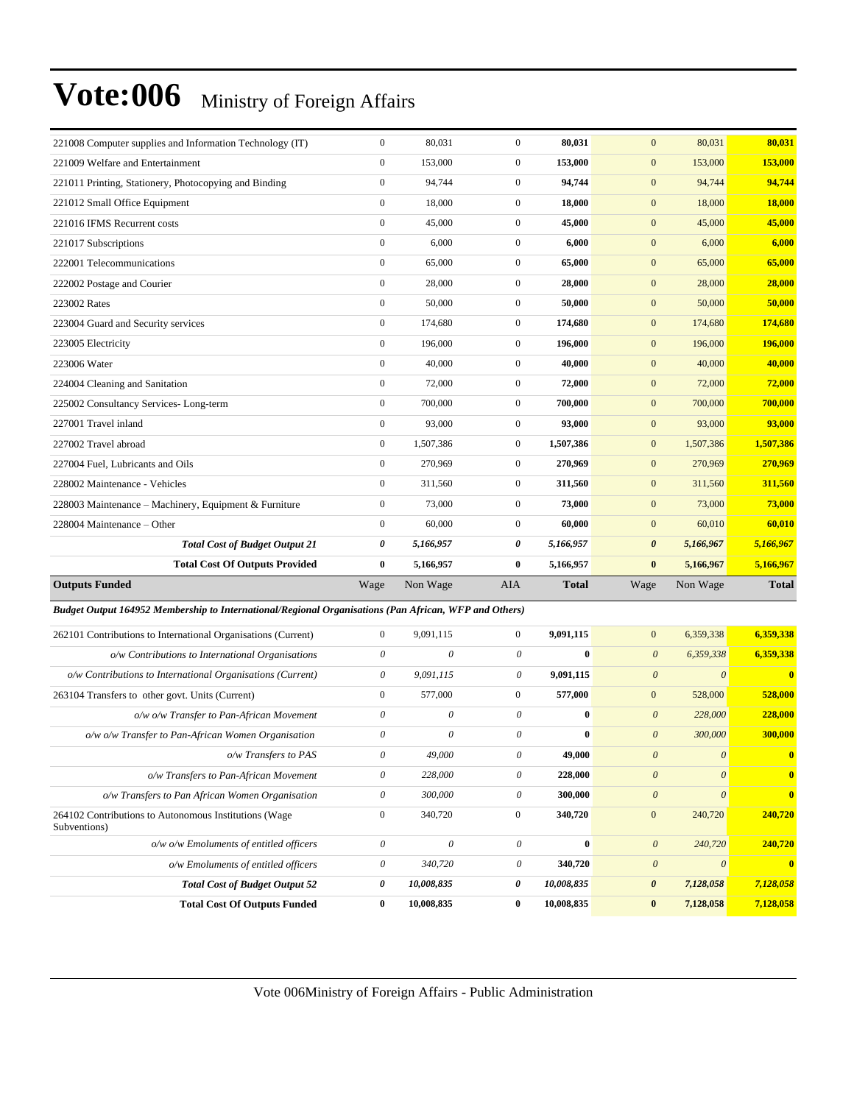| 221008 Computer supplies and Information Technology (IT)                                              | $\boldsymbol{0}$          | 80,031                    | $\boldsymbol{0}$          | 80,031       | $\mathbf{0}$              | 80,031                    | 80,031           |
|-------------------------------------------------------------------------------------------------------|---------------------------|---------------------------|---------------------------|--------------|---------------------------|---------------------------|------------------|
| 221009 Welfare and Entertainment                                                                      | $\boldsymbol{0}$          | 153,000                   | $\boldsymbol{0}$          | 153,000      | $\mathbf{0}$              | 153,000                   | 153,000          |
| 221011 Printing, Stationery, Photocopying and Binding                                                 | $\boldsymbol{0}$          | 94,744                    | $\mathbf{0}$              | 94,744       | $\mathbf{0}$              | 94,744                    | 94,744           |
| 221012 Small Office Equipment                                                                         | $\boldsymbol{0}$          | 18,000                    | $\boldsymbol{0}$          | 18,000       | $\mathbf{0}$              | 18,000                    | <b>18,000</b>    |
| 221016 IFMS Recurrent costs                                                                           | $\mathbf{0}$              | 45,000                    | $\boldsymbol{0}$          | 45,000       | $\boldsymbol{0}$          | 45,000                    | 45,000           |
| 221017 Subscriptions                                                                                  | $\boldsymbol{0}$          | 6,000                     | $\boldsymbol{0}$          | 6,000        | $\mathbf{0}$              | 6,000                     | 6,000            |
| 222001 Telecommunications                                                                             | $\boldsymbol{0}$          | 65,000                    | $\boldsymbol{0}$          | 65,000       | $\mathbf{0}$              | 65,000                    | 65,000           |
| 222002 Postage and Courier                                                                            | $\boldsymbol{0}$          | 28,000                    | $\overline{0}$            | 28,000       | $\boldsymbol{0}$          | 28,000                    | 28,000           |
| 223002 Rates                                                                                          | $\boldsymbol{0}$          | 50,000                    | $\boldsymbol{0}$          | 50,000       | $\mathbf{0}$              | 50,000                    | 50,000           |
| 223004 Guard and Security services                                                                    | $\boldsymbol{0}$          | 174,680                   | $\boldsymbol{0}$          | 174,680      | $\mathbf{0}$              | 174,680                   | 174,680          |
| 223005 Electricity                                                                                    | $\boldsymbol{0}$          | 196,000                   | $\boldsymbol{0}$          | 196,000      | $\mathbf{0}$              | 196,000                   | 196,000          |
| 223006 Water                                                                                          | $\boldsymbol{0}$          | 40,000                    | $\boldsymbol{0}$          | 40,000       | $\mathbf{0}$              | 40,000                    | 40,000           |
| 224004 Cleaning and Sanitation                                                                        | $\boldsymbol{0}$          | 72,000                    | $\mathbf{0}$              | 72,000       | $\boldsymbol{0}$          | 72,000                    | 72,000           |
| 225002 Consultancy Services-Long-term                                                                 | $\boldsymbol{0}$          | 700,000                   | $\boldsymbol{0}$          | 700,000      | $\mathbf{0}$              | 700,000                   | 700,000          |
| 227001 Travel inland                                                                                  | $\boldsymbol{0}$          | 93,000                    | $\overline{0}$            | 93,000       | $\mathbf{0}$              | 93,000                    | 93,000           |
| 227002 Travel abroad                                                                                  | $\boldsymbol{0}$          | 1,507,386                 | $\boldsymbol{0}$          | 1,507,386    | $\mathbf{0}$              | 1,507,386                 | 1,507,386        |
| 227004 Fuel, Lubricants and Oils                                                                      | $\boldsymbol{0}$          | 270,969                   | $\boldsymbol{0}$          | 270,969      | $\mathbf{0}$              | 270,969                   | 270,969          |
| 228002 Maintenance - Vehicles                                                                         | $\boldsymbol{0}$          | 311,560                   | $\mathbf{0}$              | 311,560      | $\mathbf{0}$              | 311,560                   | 311,560          |
| 228003 Maintenance - Machinery, Equipment & Furniture                                                 | $\boldsymbol{0}$          | 73,000                    | $\boldsymbol{0}$          | 73,000       | $\mathbf{0}$              | 73,000                    | 73,000           |
| 228004 Maintenance – Other                                                                            | $\boldsymbol{0}$          | 60,000                    | $\mathbf{0}$              | 60,000       | $\mathbf{0}$              | 60,010                    | 60,010           |
| <b>Total Cost of Budget Output 21</b>                                                                 | 0                         | 5,166,957                 | 0                         | 5,166,957    | $\boldsymbol{\theta}$     | 5,166,967                 | 5,166,967        |
| <b>Total Cost Of Outputs Provided</b>                                                                 | $\bf{0}$                  | 5,166,957                 | $\bf{0}$                  | 5,166,957    | $\bf{0}$                  | 5,166,967                 | 5,166,967        |
| <b>Outputs Funded</b>                                                                                 | Wage                      | Non Wage                  | AIA                       | <b>Total</b> | Wage                      | Non Wage                  | <b>Total</b>     |
| Budget Output 164952 Membership to International/Regional Organisations (Pan African, WFP and Others) |                           |                           |                           |              |                           |                           |                  |
| 262101 Contributions to International Organisations (Current)                                         | $\boldsymbol{0}$          | 9,091,115                 | $\overline{0}$            | 9,091,115    | $\boldsymbol{0}$          | 6,359,338                 | 6,359,338        |
| o/w Contributions to International Organisations                                                      | 0                         | $\boldsymbol{\mathit{0}}$ | $\boldsymbol{\mathit{0}}$ | $\bf{0}$     | $\boldsymbol{\theta}$     | 6,359,338                 | 6,359,338        |
| o/w Contributions to International Organisations (Current)                                            | $\boldsymbol{\mathit{0}}$ | 9,091,115                 | $\boldsymbol{\theta}$     | 9,091,115    | $\boldsymbol{\theta}$     | $\boldsymbol{\theta}$     | $\bf{0}$         |
| 263104 Transfers to other govt. Units (Current)                                                       | $\boldsymbol{0}$          | 577,000                   | $\mathbf{0}$              | 577,000      | $\mathbf{0}$              | 528,000                   | 528,000          |
| o/w o/w Transfer to Pan-African Movement                                                              | 0                         | 0                         | $\boldsymbol{\theta}$     | $\bf{0}$     | $\boldsymbol{\theta}$     | 228,000                   | 228,000          |
| o/w o/w Transfer to Pan-African Women Organisation                                                    | $\boldsymbol{\mathit{0}}$ | 0                         | $\boldsymbol{\mathit{0}}$ | $\bf{0}$     | $\boldsymbol{\mathit{0}}$ | 300,000                   | 300,000          |
| o/w Transfers to PAS                                                                                  | 0                         | $49,\!000$                | 0                         | 49,000       | $\boldsymbol{\theta}$     | 0                         |                  |
| o/w Transfers to Pan-African Movement                                                                 | $\theta$                  | 228,000                   | $\theta$                  | 228,000      | $\boldsymbol{\theta}$     | $\boldsymbol{\theta}$     | $\mathbf{0}$     |
| o/w Transfers to Pan African Women Organisation                                                       | $\boldsymbol{\mathit{0}}$ | 300,000                   | $\boldsymbol{\mathit{0}}$ | 300,000      | $\boldsymbol{\theta}$     | $\boldsymbol{\mathit{0}}$ | $\boldsymbol{0}$ |
| 264102 Contributions to Autonomous Institutions (Wage<br>Subventions)                                 | $\boldsymbol{0}$          | 340,720                   | $\boldsymbol{0}$          | 340,720      | $\boldsymbol{0}$          | 240,720                   | 240,720          |
| o/w o/w Emoluments of entitled officers                                                               | $\boldsymbol{\mathit{0}}$ | $\boldsymbol{\theta}$     | $\theta$                  | $\bf{0}$     | $\boldsymbol{\theta}$     | 240,720                   | 240,720          |
| o/w Emoluments of entitled officers                                                                   | $\boldsymbol{\mathit{0}}$ | 340,720                   | $\boldsymbol{\mathit{0}}$ | 340,720      | $\boldsymbol{\theta}$     | $\boldsymbol{\mathit{0}}$ | $\bf{0}$         |
| <b>Total Cost of Budget Output 52</b>                                                                 | 0                         | 10,008,835                | 0                         | 10,008,835   | 0                         | 7,128,058                 | 7,128,058        |
| <b>Total Cost Of Outputs Funded</b>                                                                   | $\bf{0}$                  | 10,008,835                | $\bf{0}$                  | 10,008,835   | $\bf{0}$                  | 7,128,058                 | 7,128,058        |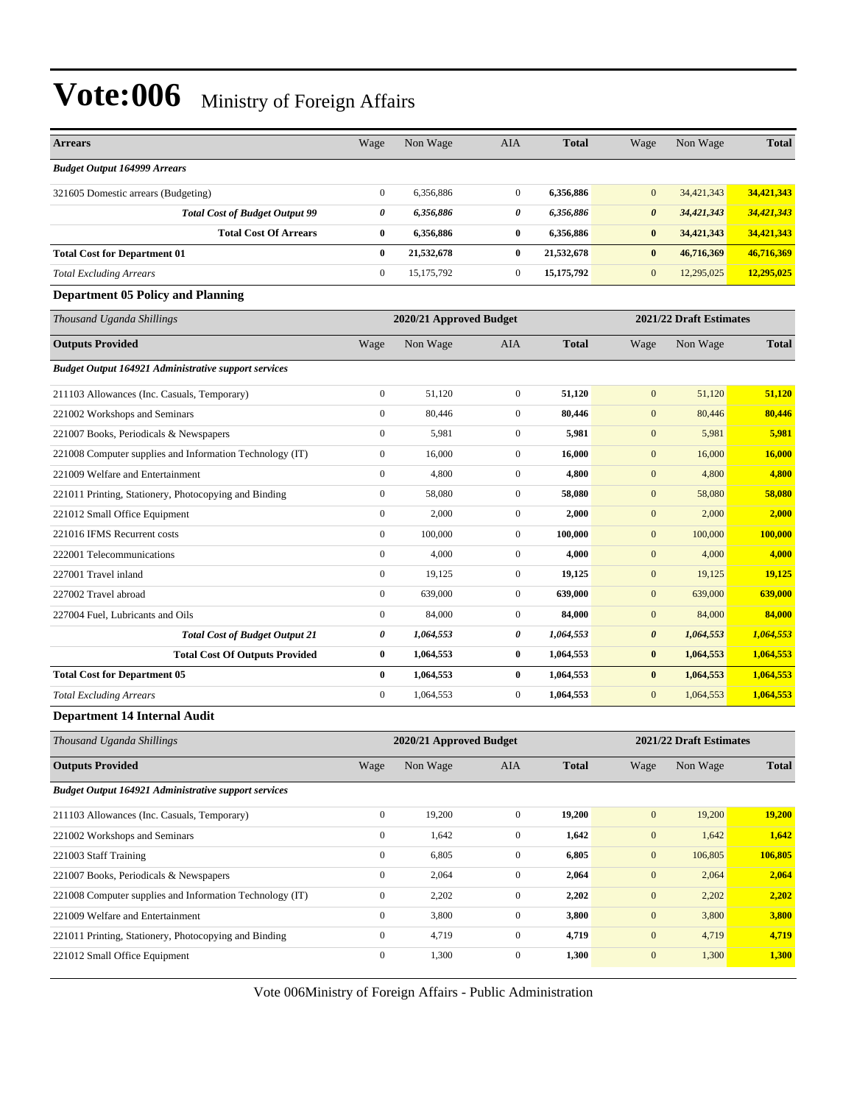| <b>Arrears</b>                                              | Wage             | Non Wage                | <b>AIA</b>       | <b>Total</b> | Wage                  | Non Wage                | <b>Total</b> |
|-------------------------------------------------------------|------------------|-------------------------|------------------|--------------|-----------------------|-------------------------|--------------|
| <b>Budget Output 164999 Arrears</b>                         |                  |                         |                  |              |                       |                         |              |
| 321605 Domestic arrears (Budgeting)                         | $\boldsymbol{0}$ | 6,356,886               | $\mathbf{0}$     | 6,356,886    | $\mathbf{0}$          | 34,421,343              | 34,421,343   |
| <b>Total Cost of Budget Output 99</b>                       | 0                | 6,356,886               | 0                | 6,356,886    | $\boldsymbol{\theta}$ | 34,421,343              | 34,421,343   |
| <b>Total Cost Of Arrears</b>                                | $\bf{0}$         | 6,356,886               | $\bf{0}$         | 6,356,886    | $\bf{0}$              | 34,421,343              | 34,421,343   |
| <b>Total Cost for Department 01</b>                         | $\bf{0}$         | 21,532,678              | $\bf{0}$         | 21,532,678   | $\bf{0}$              | 46,716,369              | 46,716,369   |
| <b>Total Excluding Arrears</b>                              | $\boldsymbol{0}$ | 15,175,792              | $\mathbf{0}$     | 15, 175, 792 | $\mathbf{0}$          | 12,295,025              | 12,295,025   |
| <b>Department 05 Policy and Planning</b>                    |                  |                         |                  |              |                       |                         |              |
| Thousand Uganda Shillings                                   |                  | 2020/21 Approved Budget |                  |              |                       | 2021/22 Draft Estimates |              |
| <b>Outputs Provided</b>                                     | Wage             | Non Wage                | <b>AIA</b>       | <b>Total</b> | Wage                  | Non Wage                | <b>Total</b> |
| <b>Budget Output 164921 Administrative support services</b> |                  |                         |                  |              |                       |                         |              |
| 211103 Allowances (Inc. Casuals, Temporary)                 | $\boldsymbol{0}$ | 51,120                  | $\boldsymbol{0}$ | 51,120       | $\mathbf{0}$          | 51,120                  | 51,120       |
| 221002 Workshops and Seminars                               | $\boldsymbol{0}$ | 80,446                  | $\mathbf{0}$     | 80,446       | $\mathbf{0}$          | 80,446                  | 80,446       |
| 221007 Books, Periodicals & Newspapers                      | $\boldsymbol{0}$ | 5,981                   | $\mathbf{0}$     | 5,981        | $\mathbf{0}$          | 5,981                   | 5,981        |
| 221008 Computer supplies and Information Technology (IT)    | $\boldsymbol{0}$ | 16,000                  | $\mathbf{0}$     | 16,000       | $\mathbf{0}$          | 16,000                  | 16,000       |
| 221009 Welfare and Entertainment                            | $\boldsymbol{0}$ | 4,800                   | $\mathbf{0}$     | 4,800        | $\mathbf{0}$          | 4,800                   | 4,800        |
| 221011 Printing, Stationery, Photocopying and Binding       | $\boldsymbol{0}$ | 58,080                  | $\boldsymbol{0}$ | 58,080       | $\mathbf{0}$          | 58,080                  | 58,080       |
| 221012 Small Office Equipment                               | $\boldsymbol{0}$ | 2,000                   | $\boldsymbol{0}$ | 2,000        | $\mathbf{0}$          | 2,000                   | 2,000        |
| 221016 IFMS Recurrent costs                                 | $\boldsymbol{0}$ | 100,000                 | $\mathbf{0}$     | 100,000      | $\mathbf{0}$          | 100,000                 | 100,000      |
| 222001 Telecommunications                                   | $\mathbf{0}$     | 4,000                   | $\mathbf{0}$     | 4,000        | $\mathbf{0}$          | 4,000                   | 4,000        |
| 227001 Travel inland                                        | $\boldsymbol{0}$ | 19,125                  | $\mathbf{0}$     | 19,125       | $\mathbf{0}$          | 19,125                  | 19,125       |
| 227002 Travel abroad                                        | $\boldsymbol{0}$ | 639,000                 | $\mathbf{0}$     | 639,000      | $\mathbf{0}$          | 639,000                 | 639,000      |
| 227004 Fuel, Lubricants and Oils                            | $\boldsymbol{0}$ | 84,000                  | $\mathbf{0}$     | 84,000       | $\mathbf{0}$          | 84,000                  | 84,000       |
| <b>Total Cost of Budget Output 21</b>                       | 0                | 1,064,553               | $\pmb{\theta}$   | 1,064,553    | $\boldsymbol{\theta}$ | 1,064,553               | 1,064,553    |
| <b>Total Cost Of Outputs Provided</b>                       | $\bf{0}$         | 1,064,553               | $\bf{0}$         | 1,064,553    | $\bf{0}$              | 1,064,553               | 1,064,553    |
| <b>Total Cost for Department 05</b>                         | $\bf{0}$         | 1,064,553               | $\bf{0}$         | 1,064,553    | $\bf{0}$              | 1,064,553               | 1,064,553    |
| <b>Total Excluding Arrears</b>                              | $\boldsymbol{0}$ | 1,064,553               | $\mathbf{0}$     | 1,064,553    | $\mathbf{0}$          | 1,064,553               | 1,064,553    |
| <b>Department 14 Internal Audit</b>                         |                  |                         |                  |              |                       |                         |              |
| Thousand Uganda Shillings                                   |                  | 2020/21 Approved Budget |                  |              |                       | 2021/22 Draft Estimates |              |
| <b>Outputs Provided</b>                                     | Wage             | Non Wage                | AIA              | <b>Total</b> | Wage                  | Non Wage                | <b>Total</b> |
| <b>Budget Output 164921 Administrative support services</b> |                  |                         |                  |              |                       |                         |              |
| 211103 Allowances (Inc. Casuals, Temporary)                 | $\boldsymbol{0}$ | 19,200                  | $\boldsymbol{0}$ | 19,200       | $\boldsymbol{0}$      | 19,200                  | 19,200       |
| 221002 Workshops and Seminars                               | $\boldsymbol{0}$ | 1,642                   | $\boldsymbol{0}$ | 1,642        | $\boldsymbol{0}$      | 1,642                   | 1,642        |
| 221003 Staff Training                                       | $\boldsymbol{0}$ | 6,805                   | $\boldsymbol{0}$ | 6,805        | $\boldsymbol{0}$      | 106,805                 | 106,805      |
| 221007 Books, Periodicals & Newspapers                      | $\boldsymbol{0}$ | 2,064                   | $\boldsymbol{0}$ | 2,064        | $\boldsymbol{0}$      | 2,064                   | 2,064        |
| 221008 Computer supplies and Information Technology (IT)    | $\boldsymbol{0}$ | 2,202                   | $\boldsymbol{0}$ | 2,202        | $\boldsymbol{0}$      | 2,202                   | 2,202        |
| 221009 Welfare and Entertainment                            | $\boldsymbol{0}$ | 3,800                   | $\boldsymbol{0}$ | 3,800        | $\boldsymbol{0}$      | 3,800                   | 3,800        |
| 221011 Printing, Stationery, Photocopying and Binding       | $\boldsymbol{0}$ | 4,719                   | $\boldsymbol{0}$ | 4,719        | $\mathbf{0}$          | 4,719                   | 4,719        |
| 221012 Small Office Equipment                               | $\boldsymbol{0}$ | 1,300                   | $\boldsymbol{0}$ | 1,300        | $\boldsymbol{0}$      | 1,300                   | 1,300        |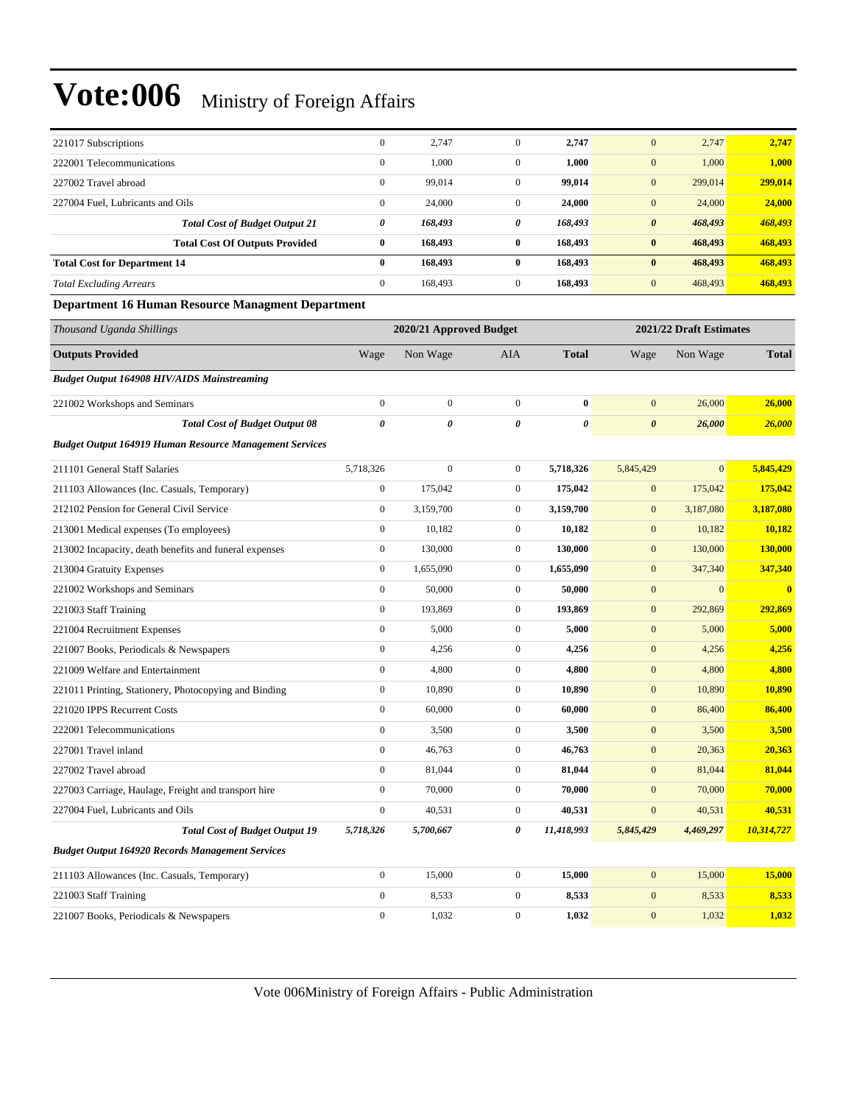| 221017 Subscriptions                                           | $\boldsymbol{0}$      | 2,747                   | $\mathbf{0}$     | 2,747        | $\mathbf{0}$          | 2,747                   | 2,747        |
|----------------------------------------------------------------|-----------------------|-------------------------|------------------|--------------|-----------------------|-------------------------|--------------|
| 222001 Telecommunications                                      | $\boldsymbol{0}$      | 1,000                   | $\boldsymbol{0}$ | 1,000        | $\mathbf{0}$          | 1,000                   | 1,000        |
| 227002 Travel abroad                                           | $\boldsymbol{0}$      | 99,014                  | $\boldsymbol{0}$ | 99,014       | $\mathbf{0}$          | 299,014                 | 299,014      |
| 227004 Fuel, Lubricants and Oils                               | $\boldsymbol{0}$      | 24,000                  | $\boldsymbol{0}$ | 24,000       | $\mathbf{0}$          | 24,000                  | 24,000       |
| <b>Total Cost of Budget Output 21</b>                          | 0                     | 168,493                 | 0                | 168,493      | $\boldsymbol{\theta}$ | 468,493                 | 468,493      |
| <b>Total Cost Of Outputs Provided</b>                          | $\bf{0}$              | 168,493                 | $\bf{0}$         | 168,493      | $\bf{0}$              | 468,493                 | 468,493      |
| <b>Total Cost for Department 14</b>                            | $\bf{0}$              | 168,493                 | $\bf{0}$         | 168,493      | $\bf{0}$              | 468,493                 | 468,493      |
| <b>Total Excluding Arrears</b>                                 | $\boldsymbol{0}$      | 168,493                 | $\boldsymbol{0}$ | 168,493      | $\mathbf{0}$          | 468,493                 | 468,493      |
| <b>Department 16 Human Resource Managment Department</b>       |                       |                         |                  |              |                       |                         |              |
| Thousand Uganda Shillings                                      |                       | 2020/21 Approved Budget |                  |              |                       | 2021/22 Draft Estimates |              |
| <b>Outputs Provided</b>                                        | Wage                  | Non Wage                | AIA              | <b>Total</b> | Wage                  | Non Wage                | <b>Total</b> |
| <b>Budget Output 164908 HIV/AIDS Mainstreaming</b>             |                       |                         |                  |              |                       |                         |              |
| 221002 Workshops and Seminars                                  | $\boldsymbol{0}$      | $\boldsymbol{0}$        | $\boldsymbol{0}$ | $\bf{0}$     | $\mathbf{0}$          | 26,000                  | 26,000       |
| <b>Total Cost of Budget Output 08</b>                          | $\boldsymbol{\theta}$ | 0                       | 0                | 0            | $\boldsymbol{\theta}$ | 26,000                  | 26,000       |
| <b>Budget Output 164919 Human Resource Management Services</b> |                       |                         |                  |              |                       |                         |              |
| 211101 General Staff Salaries                                  | 5,718,326             | $\boldsymbol{0}$        | $\boldsymbol{0}$ | 5,718,326    | 5,845,429             | $\mathbf{0}$            | 5,845,429    |
| 211103 Allowances (Inc. Casuals, Temporary)                    | $\boldsymbol{0}$      | 175,042                 | $\boldsymbol{0}$ | 175,042      | $\mathbf{0}$          | 175,042                 | 175,042      |
| 212102 Pension for General Civil Service                       | $\boldsymbol{0}$      | 3,159,700               | $\boldsymbol{0}$ | 3,159,700    | $\mathbf{0}$          | 3,187,080               | 3,187,080    |
| 213001 Medical expenses (To employees)                         | $\boldsymbol{0}$      | 10,182                  | $\boldsymbol{0}$ | 10,182       | $\bf{0}$              | 10,182                  | 10,182       |
| 213002 Incapacity, death benefits and funeral expenses         | $\boldsymbol{0}$      | 130,000                 | $\boldsymbol{0}$ | 130,000      | $\mathbf{0}$          | 130,000                 | 130,000      |
| 213004 Gratuity Expenses                                       | $\boldsymbol{0}$      | 1,655,090               | $\boldsymbol{0}$ | 1,655,090    | $\mathbf{0}$          | 347,340                 | 347,340      |
| 221002 Workshops and Seminars                                  | $\boldsymbol{0}$      | 50,000                  | $\boldsymbol{0}$ | 50,000       | $\mathbf{0}$          | $\mathbf{0}$            | $\bf{0}$     |
| 221003 Staff Training                                          | $\boldsymbol{0}$      | 193,869                 | $\boldsymbol{0}$ | 193,869      | $\mathbf{0}$          | 292,869                 | 292,869      |
| 221004 Recruitment Expenses                                    | $\boldsymbol{0}$      | 5,000                   | $\boldsymbol{0}$ | 5,000        | $\mathbf{0}$          | 5,000                   | 5,000        |
| 221007 Books, Periodicals & Newspapers                         | $\boldsymbol{0}$      | 4,256                   | $\boldsymbol{0}$ | 4,256        | $\mathbf{0}$          | 4,256                   | 4,256        |
| 221009 Welfare and Entertainment                               | $\boldsymbol{0}$      | 4,800                   | $\boldsymbol{0}$ | 4,800        | $\mathbf{0}$          | 4,800                   | 4,800        |
| 221011 Printing, Stationery, Photocopying and Binding          | $\boldsymbol{0}$      | 10,890                  | $\boldsymbol{0}$ | 10,890       | $\mathbf{0}$          | 10,890                  | 10,890       |
| 221020 IPPS Recurrent Costs                                    | $\boldsymbol{0}$      | 60,000                  | $\boldsymbol{0}$ | 60,000       | $\mathbf{0}$          | 86,400                  | 86,400       |
| 222001 Telecommunications                                      | $\boldsymbol{0}$      | 3,500                   | $\boldsymbol{0}$ | 3,500        | $\mathbf{0}$          | 3,500                   | 3,500        |
| 227001 Travel inland                                           | $\boldsymbol{0}$      | 46,763                  | $\boldsymbol{0}$ | 46,763       | $\mathbf{0}$          | 20,363                  | 20,363       |
| 227002 Travel abroad                                           | $\mathbf{0}$          | 81,044                  | $\boldsymbol{0}$ | 81,044       | $\mathbf{0}$          | 81,044                  | 81,044       |
| 227003 Carriage, Haulage, Freight and transport hire           | $\mathbf{0}$          | 70,000                  | $\boldsymbol{0}$ | 70,000       | $\mathbf{0}$          | 70,000                  | 70,000       |
| 227004 Fuel, Lubricants and Oils                               | $\boldsymbol{0}$      | 40,531                  | $\boldsymbol{0}$ | 40,531       | $\mathbf{0}$          | 40,531                  | 40,531       |
| <b>Total Cost of Budget Output 19</b>                          | 5,718,326             | 5,700,667               | 0                | 11,418,993   | 5,845,429             | 4,469,297               | 10,314,727   |
| <b>Budget Output 164920 Records Management Services</b>        |                       |                         |                  |              |                       |                         |              |
| 211103 Allowances (Inc. Casuals, Temporary)                    | $\boldsymbol{0}$      | 15,000                  | $\boldsymbol{0}$ | 15,000       | $\mathbf{0}$          | 15,000                  | 15,000       |
| 221003 Staff Training                                          | $\boldsymbol{0}$      | 8,533                   | $\boldsymbol{0}$ | 8,533        | $\mathbf{0}$          | 8,533                   | 8,533        |
| 221007 Books, Periodicals & Newspapers                         | $\boldsymbol{0}$      | 1,032                   | $\boldsymbol{0}$ | 1,032        | $\mathbf{0}$          | 1,032                   | 1,032        |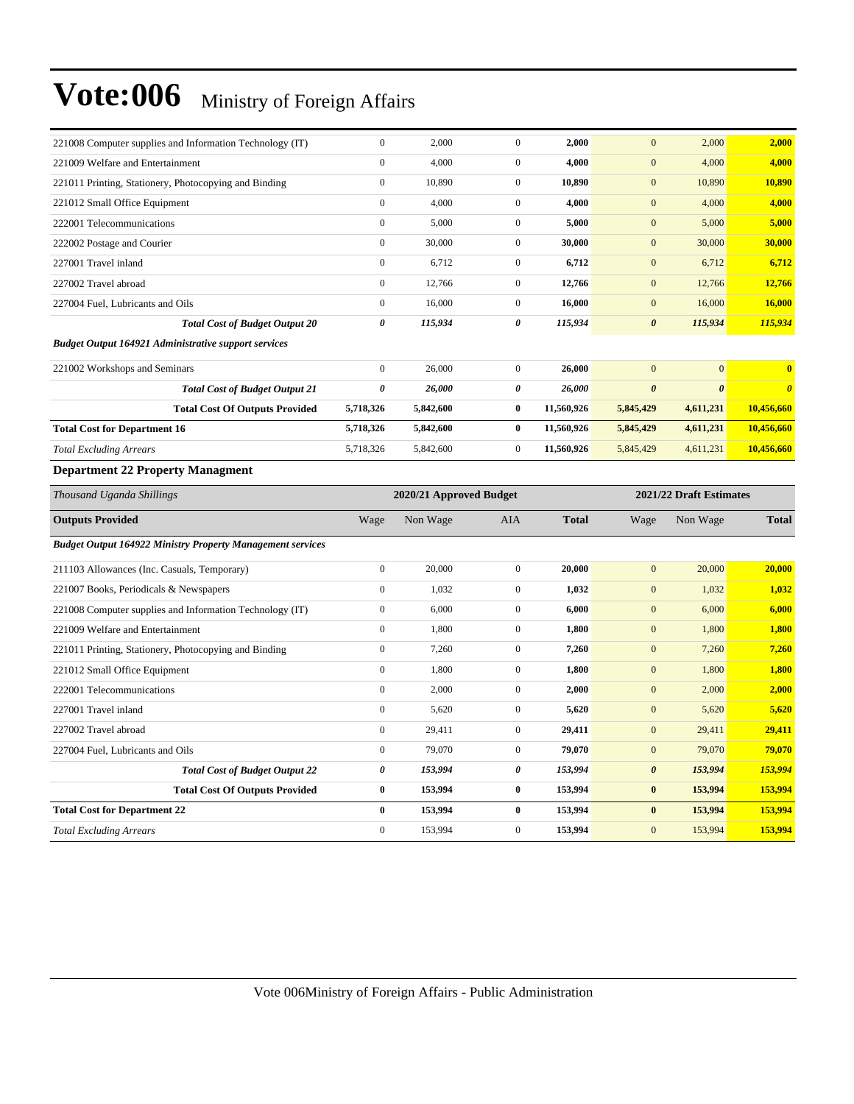| 221008 Computer supplies and Information Technology (IT)          | $\mathbf{0}$            | 2,000     | $\mathbf{0}$     | 2,000        | $\mathbf{0}$          | 2,000                   | 2,000                 |
|-------------------------------------------------------------------|-------------------------|-----------|------------------|--------------|-----------------------|-------------------------|-----------------------|
| 221009 Welfare and Entertainment                                  | $\mathbf{0}$            | 4,000     | $\overline{0}$   | 4,000        | $\mathbf{0}$          | 4,000                   | 4,000                 |
| 221011 Printing, Stationery, Photocopying and Binding             | $\boldsymbol{0}$        | 10,890    | $\overline{0}$   | 10,890       | $\mathbf{0}$          | 10,890                  | 10,890                |
| 221012 Small Office Equipment                                     | $\mathbf{0}$            | 4,000     | $\boldsymbol{0}$ | 4,000        | $\mathbf{0}$          | 4,000                   | 4,000                 |
| 222001 Telecommunications                                         | $\boldsymbol{0}$        | 5,000     | $\overline{0}$   | 5,000        | $\boldsymbol{0}$      | 5,000                   | 5,000                 |
| 222002 Postage and Courier                                        | $\mathbf{0}$            | 30,000    | $\overline{0}$   | 30,000       | $\mathbf{0}$          | 30,000                  | 30,000                |
| 227001 Travel inland                                              | $\boldsymbol{0}$        | 6,712     | $\overline{0}$   | 6,712        | $\boldsymbol{0}$      | 6,712                   | 6,712                 |
| 227002 Travel abroad                                              | $\mathbf{0}$            | 12,766    | $\boldsymbol{0}$ | 12,766       | $\boldsymbol{0}$      | 12,766                  | 12,766                |
| 227004 Fuel, Lubricants and Oils                                  | $\boldsymbol{0}$        | 16,000    | $\mathbf{0}$     | 16,000       | $\boldsymbol{0}$      | 16,000                  | 16,000                |
| <b>Total Cost of Budget Output 20</b>                             | $\boldsymbol{\theta}$   | 115,934   | 0                | 115,934      | $\boldsymbol{\theta}$ | 115,934                 | 115,934               |
| <b>Budget Output 164921 Administrative support services</b>       |                         |           |                  |              |                       |                         |                       |
| 221002 Workshops and Seminars                                     | $\boldsymbol{0}$        | 26,000    | $\overline{0}$   | 26,000       | $\mathbf{0}$          | $\mathbf{0}$            | $\bf{0}$              |
| <b>Total Cost of Budget Output 21</b>                             | $\boldsymbol{\theta}$   | 26,000    | 0                | 26,000       | $\pmb{\theta}$        | $\boldsymbol{\theta}$   | $\boldsymbol{\theta}$ |
| <b>Total Cost Of Outputs Provided</b>                             | 5,718,326               | 5,842,600 | $\bf{0}$         | 11,560,926   | 5,845,429             | 4,611,231               | 10,456,660            |
| <b>Total Cost for Department 16</b>                               | 5,718,326               | 5,842,600 | $\bf{0}$         | 11,560,926   | 5,845,429             | 4,611,231               | 10,456,660            |
| <b>Total Excluding Arrears</b>                                    | 5,718,326               | 5,842,600 | $\overline{0}$   | 11,560,926   | 5,845,429             | 4,611,231               | 10,456,660            |
| <b>Department 22 Property Managment</b>                           |                         |           |                  |              |                       |                         |                       |
|                                                                   | 2020/21 Approved Budget |           |                  |              |                       |                         |                       |
| Thousand Uganda Shillings                                         |                         |           |                  |              |                       | 2021/22 Draft Estimates |                       |
| <b>Outputs Provided</b>                                           | Wage                    | Non Wage  | AIA              | <b>Total</b> | Wage                  | Non Wage                | <b>Total</b>          |
| <b>Budget Output 164922 Ministry Property Management services</b> |                         |           |                  |              |                       |                         |                       |
| 211103 Allowances (Inc. Casuals, Temporary)                       | $\boldsymbol{0}$        | 20,000    | $\boldsymbol{0}$ | 20,000       | $\boldsymbol{0}$      | 20,000                  | 20,000                |
| 221007 Books, Periodicals & Newspapers                            | $\boldsymbol{0}$        | 1,032     | $\overline{0}$   | 1,032        | $\boldsymbol{0}$      | 1,032                   | 1,032                 |
| 221008 Computer supplies and Information Technology (IT)          | $\boldsymbol{0}$        | 6,000     | $\overline{0}$   | 6,000        | $\mathbf{0}$          | 6,000                   | 6,000                 |
| 221009 Welfare and Entertainment                                  | $\boldsymbol{0}$        | 1,800     | $\overline{0}$   | 1,800        | $\boldsymbol{0}$      | 1,800                   | 1,800                 |
| 221011 Printing, Stationery, Photocopying and Binding             | $\mathbf{0}$            | 7,260     | $\overline{0}$   | 7,260        | $\mathbf{0}$          | 7,260                   | 7,260                 |
| 221012 Small Office Equipment                                     | $\boldsymbol{0}$        | 1,800     | $\overline{0}$   | 1,800        | $\boldsymbol{0}$      | 1,800                   | 1,800                 |
| 222001 Telecommunications                                         | $\boldsymbol{0}$        | 2,000     | $\overline{0}$   | 2,000        | $\boldsymbol{0}$      | 2,000                   | 2,000                 |
| 227001 Travel inland                                              | $\boldsymbol{0}$        | 5,620     | $\overline{0}$   | 5,620        | $\boldsymbol{0}$      | 5,620                   | 5,620                 |
| 227002 Travel abroad                                              | $\boldsymbol{0}$        | 29,411    | $\boldsymbol{0}$ | 29,411       | $\boldsymbol{0}$      | 29,411                  | 29,411                |
| 227004 Fuel, Lubricants and Oils                                  | $\mathbf{0}$            | 79,070    | $\overline{0}$   | 79,070       | $\mathbf{0}$          | 79,070                  | 79,070                |
| <b>Total Cost of Budget Output 22</b>                             | $\boldsymbol{\theta}$   | 153,994   | 0                | 153,994      | $\boldsymbol{\theta}$ | 153,994                 | 153,994               |
| <b>Total Cost Of Outputs Provided</b>                             | $\bf{0}$                | 153,994   | $\bf{0}$         | 153,994      | $\bf{0}$              | 153,994                 | 153,994               |
| <b>Total Cost for Department 22</b>                               | $\bf{0}$                | 153,994   | $\bf{0}$         | 153,994      | $\bf{0}$              | 153,994                 | 153,994               |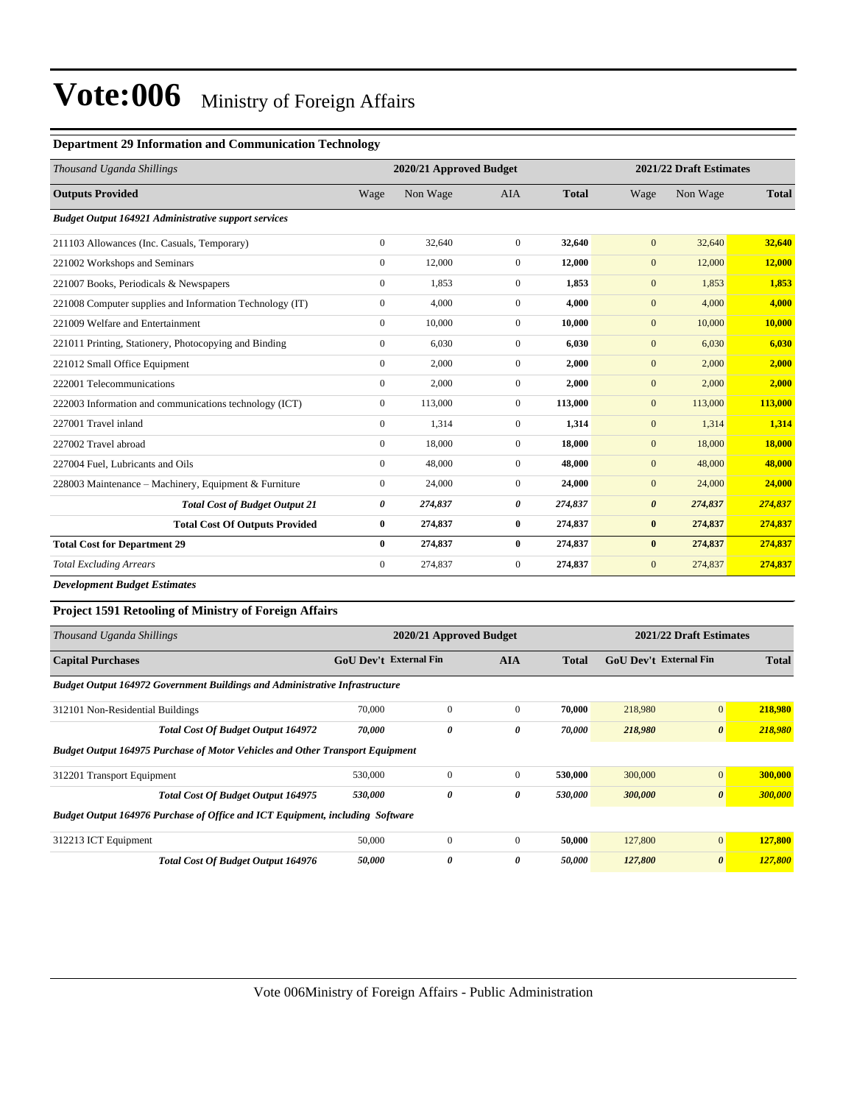#### **Department 29 Information and Communication Technology**

| Thousand Uganda Shillings                                   | 2020/21 Approved Budget |          |                |              | 2021/22 Draft Estimates |          |               |  |  |
|-------------------------------------------------------------|-------------------------|----------|----------------|--------------|-------------------------|----------|---------------|--|--|
| <b>Outputs Provided</b>                                     | Wage                    | Non Wage | <b>AIA</b>     | <b>Total</b> | Wage                    | Non Wage | <b>Total</b>  |  |  |
| <b>Budget Output 164921 Administrative support services</b> |                         |          |                |              |                         |          |               |  |  |
| 211103 Allowances (Inc. Casuals, Temporary)                 | $\mathbf{0}$            | 32,640   | $\mathbf{0}$   | 32,640       | $\mathbf{0}$            | 32,640   | 32,640        |  |  |
| 221002 Workshops and Seminars                               | $\mathbf{0}$            | 12,000   | $\overline{0}$ | 12,000       | $\mathbf{0}$            | 12,000   | 12,000        |  |  |
| 221007 Books, Periodicals & Newspapers                      | $\mathbf{0}$            | 1,853    | $\Omega$       | 1,853        | $\mathbf{0}$            | 1,853    | 1,853         |  |  |
| 221008 Computer supplies and Information Technology (IT)    | $\mathbf{0}$            | 4,000    | $\overline{0}$ | 4,000        | $\mathbf{0}$            | 4,000    | 4,000         |  |  |
| 221009 Welfare and Entertainment                            | $\mathbf{0}$            | 10,000   | $\overline{0}$ | 10,000       | $\mathbf{0}$            | 10,000   | 10,000        |  |  |
| 221011 Printing, Stationery, Photocopying and Binding       | $\mathbf{0}$            | 6,030    | $\overline{0}$ | 6,030        | $\mathbf{0}$            | 6,030    | 6,030         |  |  |
| 221012 Small Office Equipment                               | $\mathbf{0}$            | 2,000    | $\Omega$       | 2,000        | $\mathbf{0}$            | 2,000    | 2,000         |  |  |
| 222001 Telecommunications                                   | $\mathbf{0}$            | 2,000    | $\overline{0}$ | 2,000        | $\mathbf{0}$            | 2,000    | 2,000         |  |  |
| 222003 Information and communications technology (ICT)      | $\mathbf{0}$            | 113,000  | $\overline{0}$ | 113,000      | $\mathbf{0}$            | 113,000  | 113,000       |  |  |
| 227001 Travel inland                                        | $\Omega$                | 1,314    | $\overline{0}$ | 1,314        | $\mathbf{0}$            | 1,314    | 1,314         |  |  |
| 227002 Travel abroad                                        | $\mathbf{0}$            | 18,000   | $\overline{0}$ | 18,000       | $\mathbf{0}$            | 18,000   | <b>18,000</b> |  |  |
| 227004 Fuel, Lubricants and Oils                            | $\Omega$                | 48,000   | $\Omega$       | 48,000       | $\mathbf{0}$            | 48,000   | 48,000        |  |  |
| 228003 Maintenance – Machinery, Equipment & Furniture       | $\mathbf{0}$            | 24,000   | $\overline{0}$ | 24,000       | $\mathbf{0}$            | 24,000   | 24,000        |  |  |
| <b>Total Cost of Budget Output 21</b>                       | 0                       | 274,837  | 0              | 274,837      | $\boldsymbol{\theta}$   | 274,837  | 274,837       |  |  |
| <b>Total Cost Of Outputs Provided</b>                       | $\bf{0}$                | 274,837  | $\bf{0}$       | 274,837      | $\bf{0}$                | 274,837  | 274,837       |  |  |
| <b>Total Cost for Department 29</b>                         | $\mathbf{0}$            | 274,837  | $\bf{0}$       | 274,837      | $\bf{0}$                | 274,837  | 274,837       |  |  |
| <b>Total Excluding Arrears</b>                              | $\overline{0}$          | 274,837  | $\overline{0}$ | 274,837      | $\mathbf{0}$            | 274,837  | 274,837       |  |  |

*Development Budget Estimates*

### **Project 1591 Retooling of Ministry of Foreign Affairs**

| Thousand Uganda Shillings                                                            |                               | 2020/21 Approved Budget |                | 2021/22 Draft Estimates |                        |                       |              |  |  |  |  |  |  |
|--------------------------------------------------------------------------------------|-------------------------------|-------------------------|----------------|-------------------------|------------------------|-----------------------|--------------|--|--|--|--|--|--|
| <b>Capital Purchases</b>                                                             | <b>GoU Dev't External Fin</b> |                         | <b>AIA</b>     | <b>Total</b>            | GoU Dev't External Fin |                       | <b>Total</b> |  |  |  |  |  |  |
| <b>Budget Output 164972 Government Buildings and Administrative Infrastructure</b>   |                               |                         |                |                         |                        |                       |              |  |  |  |  |  |  |
| 312101 Non-Residential Buildings                                                     | 70,000                        | $\Omega$                | $\Omega$       | 70.000                  | 218,980                | $\mathbf{0}$          | 218,980      |  |  |  |  |  |  |
| <b>Total Cost Of Budget Output 164972</b>                                            | 70,000                        | 0                       | 0              | 70,000                  | 218,980                | $\boldsymbol{\theta}$ | 218,980      |  |  |  |  |  |  |
| <b>Budget Output 164975 Purchase of Motor Vehicles and Other Transport Equipment</b> |                               |                         |                |                         |                        |                       |              |  |  |  |  |  |  |
| 312201 Transport Equipment                                                           | 530,000                       | $\Omega$                | $\overline{0}$ | 530,000                 | 300,000                | $\mathbf{0}$          | 300,000      |  |  |  |  |  |  |
| <b>Total Cost Of Budget Output 164975</b>                                            | 530,000                       | 0                       | 0              | 530,000                 | 300,000                | $\boldsymbol{\theta}$ | 300,000      |  |  |  |  |  |  |
| Budget Output 164976 Purchase of Office and ICT Equipment, including Software        |                               |                         |                |                         |                        |                       |              |  |  |  |  |  |  |
| 312213 ICT Equipment                                                                 | 50,000                        | $\Omega$                | $\overline{0}$ | 50,000                  | 127,800                | $\mathbf{0}$          | 127,800      |  |  |  |  |  |  |
| <b>Total Cost Of Budget Output 164976</b>                                            | 50,000                        | 0                       | 0              | 50,000                  | 127,800                | $\boldsymbol{\theta}$ | 127,800      |  |  |  |  |  |  |